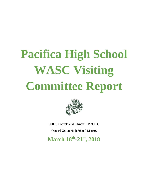# **Pacifica High School WASC Visiting Committee Report**



600 E. Gonzales Rd. Oxnard, CA 93035

Oxnard Union High School District

**March 18th-21st, 2018**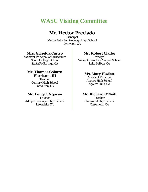## **WASC Visiting Committee**

## **Mr. Hector Preciado**

Principal Marco Antonio Firebaugh High School Lynwood, CA

#### **Mrs. Griselda Castro**

Assistant Principal of Curriculum Santa Fe High School Santa Fe Springs, CA

#### **Mr. Thomas Coburn Harrison, III**

Teacher Century High School Santa Ana, CA

#### **Mr. Long C. Nguyen**

**Teacher** Adolph Leuzinger High School Lawndale, CA

#### **Mr. Robert Clarke**

Principal Valley Alternative Magnet School Lake Balboa, CA

#### **Ms. Mary Hazlett**

Assistant Principal Agoura High School Agoura Hills, CA

#### **Mr. Richard O'Neill**

Teacher Claremont High School Claremont, CA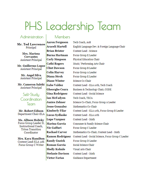## PHS Leadership Team

### Administration

**Members** 

**Mr. Ted Lawrence** Principal

Mrs. Marissa **Cervantes Assistant Principal** 

Mr. Guillermo Lopez **Assistant Principal** 

> Mr. Angel Silva **Assistant Principal**

Mr. Cameron Salehi **Assistant Principal** 

Self-Studu Coordination Team

Mr. Robert Edison Department Chair-ELA

**Ms. Allison Holicky** Focus Group Leader D, Instructional Coach, **Triton Transition** Coordinator

Mrs. Kara Hamilton Content Lead-ELA 11th Focus Group C Writer

**Aaron Ferguson** Araceli Martell **Brian Brister Burna Hartman Carly Simpson** Cathi Rogers **Clint Dawson Colin Harvey** Diana Stroh **Diane Winter Gabe Valdez Gheorghe Ceara** Gina Rodriguez Ian McFadven Janice Zehner **Jesse Gonzalez Kimberly Filar** Lucas Sydlaske **Lupe Vazquez** Marina Garcia Nic Gaffuri **Rachael Carver Ramon Rodriguez Randy Guzick Roman Garcia** Shelly Kohnle **Stefanie Davison Victor Farias** 

Tech Coach, AoB English Language Dev. & Foreign Language Chair Content Lead - Science Focus Group E Leader Physical Education Chair Music/Performing Arts Chair Focus Group B Leader Focus Group A Leader Focus Group E Leader Science Co-Chair Content Lead - ELA 10th, Tech Coach Business & Technology Chair, CODE Content Lead - Social Science Tech Coach, TECA Science Co-Chair, Focus Group A Leader Mathematics Co-Chair Content Lead - ELA 12th, Focus Group B Leader Content Lead - ELA 10th Content Lead - Math Consumer & Family Science Chair Focus Group C Leader Mathematics Co-Chair, Content Lead - Math Content Lead - Social Science, Focus Group C Leader Focus Group D Leader Social Science Chair Visual Arts Chair Content Lead - Math **Guidance Department**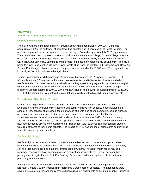#### **CHAPTER 1 School and Community Profile and Supporting Data**

#### **Community of Oxnard**

The city of Oxnard is the largest city in Ventura County with a population of 207,906. Oxnard is approximately 62 miles northwest of downtown Los Angeles and 35 miles south of Santa Barbara. The area encompassed by the incorporated limits of the city of Oxnard is approximately 26.89 square miles. The city of Oxnard encompasses six school districts and a community college, Oxnard College, which is one of three community colleges within Ventura County. In close proximity is a four-year university, California State University, Channel Islands located in the southern adjacent city of Camarillo. The city is home to Naval Base Ventura County, (Naval Construction Battalion Center, Port Hueneme, and Naval Air Station, Point Mugu), which is the largest employer and responsible for 15,000 jobs. The major industry in the city of Oxnard continues to be agriculture.

Oxnard is comprised of 73.5% persons of Hispanic or Latino origin, 14.9% white, 7.4% Asian, 2.9% African American, 1.5% American Indian and Alaskan Native, and 0.3% Native Hawaiian and other Pacific Islander. 68.2% of Oxnard households report they speak a language at home other than English. 65.6% of the community are high school graduates and 16.2% have a Bachelor's degree or higher. The median household income is \$60,621 with a median value of home-owner occupied homes of \$345,800. 16.6% of the community lives below the state-defined poverty level with a 4.5% unemployment rate.

#### **Oxnard Union High School District**

Oxnard Union High School District currently consists of 13 different entities located at 12 different locations in Oxnard and Camarillo. These include comprehensive high schools, a continuation high school, an independent study school (some of whose students also attend community college classes), and an adult education school. District leadership consists of a five member school board, the superintendent and three assistant superintendents. Total enrollment for 2017-18 is approximately 17,000. As most high schools at, or over capacity, the board is actively working on a bond measure for new construction to alleviate the overcrowding. This school year, students from independent studies were re-distributed to their home schools. The impact on PHS was sharing of classrooms and travelling from classrooms by some teachers.

#### Pacifica High School

Pacifica High School was established in 2001. Over the last ten years, the student population has continued to grow to its current enrollment of 3,200 students from a portion of the Oxnard Community. Pacifica High School resides in a richly diverse area of Oxnard. Though primarily residential and suburban, some areas have become more commercial and industrialized. Oxnard, however, has its primary roots in agriculture. In fact, Pacifica High School was built on an agricultural site that was previously lemon orchards.

Although Pacifica High School's attendance area is the smallest in the district, the population is the largest in Ventura County. Pacifica High represents a cross-section of society. The attendance area covers nine square miles, and many of the students reside in apartments or multi-family units. Pacifica is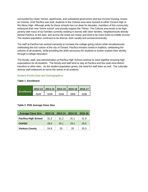surrounded by newer homes, apartments, and subsidized government and low-income housing, known as Colonia. Until Pacifica was built, students in the Colonia area were bussed to either Oxnard High or Rio Mesa High. Although pride for these schools has run deep for decades, members of this community embraced their new "home school" and proudly support the Tritons. The Colonia area tends to be highpoverty with many of our families currently residing in homes with other families. Neighborhoods directly behind Pacifica, to the east, and across the street are newer and tend to be more lower-to-middle income. The student population continues to be diverse, both racially and socioeconomically.

The staff at Pacifica has worked earnestly to increase the college-going culture while simultaneously celebrating the rich culture of the city of Oxnard. Pacifica remains rooted in tradition, celebrating the cultures of all students, while providing the skills necessary for students to further explore their identity through a college education.

The faculty, staff, and administration at Pacifica High School continue to work together ensuring high expectations for all students. The faculty and staff tend to stay at Pacifica and few seek intra-district transfers to other sites. As the student population grows, the need for staff does as well. The culturally diverse staff endeavors to serve the needs of all students.

#### **Student Profile Data and Demographics**

#### **Table 1 Enrollment**

|                |      |      | 2012-13   2013-14   2014-15   2015-16   2016-17 |      |      |
|----------------|------|------|-------------------------------------------------|------|------|
| ∣ Enrollment I | 3328 | 3249 | 3346                                            | 3306 | 3186 |

#### **Table 2 PHS Average Class Size**

| <b>Average Class Size</b>   | 2012-13 | 2013-14 | 2014-15 | 2015-16 |
|-----------------------------|---------|---------|---------|---------|
| <b>Pacifica High School</b> | 31.3    | 31.2    | 31.1    | 31.9    |
| <b>OUHSD</b>                | 28.8    | 29.1    | 29.2    | 29.6    |
| <b>Ventura County</b>       | 24.9    | 25      | 25      | 25.3    |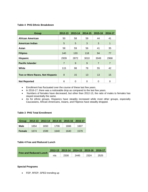#### **Table 4 PHS Ethnic Breakdown**

| <b>Group</b>                    | 2012-13        | 2013-14 | 2014-15 | 2015-16        | 2016-17        |
|---------------------------------|----------------|---------|---------|----------------|----------------|
| African American                | 50             | 58      | 59      | 44             | 41             |
| <b>American Indian</b>          | 5              | 5       | 3       | 3              | $\mathbf{1}$   |
| Asian                           | 58             | 59      | 56      | 41             | 35             |
| <b>Filipino</b>                 | 140            | 133     | 118     | 94             | 77             |
| <b>Hispanic</b>                 | 2939           | 2872    | 3010    | 3049           | 2968           |
| <b>Pacific Islander</b>         | $\overline{7}$ | 9       | 9       | $\overline{7}$ | $\overline{7}$ |
| White                           | 115            | 98      | 78      | 55             | 42             |
|                                 |                |         |         |                |                |
| Two or More Races, Not Hispanic | 8              | 15      | 13      | 13             | 15             |
| <b>Not Reported</b>             | 6              | 0       | 0       | 0              | 0              |

- Enrollment has fluctuated over the course of these last few years.
- In 2016-17, there was a noticeable drop as compared to the last few years.
- Numbers of females have decreased, but other than 2012-13, the ratio of males to females has stayed essentially the same.
- As for ethnic groups, Hispanics have steadily increased while most other groups, especially Caucasians, African-Americans, Asians, and Filipinos have steadily dropped.

#### **Table 3 PHS Total Enrollment**

| Group  |      |      | 2012-13 2013-14 2014-15 | $2015 - 16$ | Ⅰ 2016-17 |
|--------|------|------|-------------------------|-------------|-----------|
| Male   | 1654 | 1650 | 1706                    | 1666        | 1607      |
| Female | 1674 | 1599 | 1640                    | 1640        | 1579      |

#### **Table 4 Free and Reduced Lunch**

|                               |     |      |      | 2012-13 2013-14 2014-15 2015-16 2016-17 |      |
|-------------------------------|-----|------|------|-----------------------------------------|------|
| <b>Free and Reduced Lunch</b> | n/a | 2330 | 2445 | 2324                                    | 2525 |

#### **Special Programs**

• FEP, RFEP, SPED trending up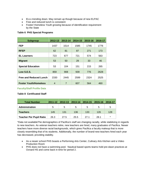- ELLs trending down. May remain up though because of new ELPAC
- Free and reduced lunch is consistent
- Foster/ Homeless Youth growing because of identification requirement by the State

#### **Table 6 PHS Special Programs**

| <b>Subgroup</b>               | 2012-13        | 2013-14        | 2014-15 | 2015-16 | 2016-17 |
|-------------------------------|----------------|----------------|---------|---------|---------|
| <b>FEP</b>                    | 1437           | 1514           | 1585    | 1745    | 1776    |
| <b>RFEP</b>                   | 62             | 81             | 87      | 271     | 173     |
| <b>EL Learners</b>            | 723            | 677            | 721     | 574     | 563     |
| <b>Migrant</b>                | 53             | 50             | 29      | 33      | 46      |
| <b>Special Education</b>      | 53             | 104            | 151     | 215     | 265     |
| Low S.E.S.                    | 859            | 908            | 939     | 776     | 2628    |
| <b>Free and Reduced Lunch</b> | 2330           | 2445           | 2599    | 2324    | 2525    |
| <b>Foster Youth/Homeless</b>  | $\overline{4}$ | $\overline{7}$ | 607     | 564     | 460     |

**Faculty/Staff Profile Data**

#### **Table 8 Certificated Staff**

| <b>Total Number</b>            | $2011 - 12$ | $2012 - 13$ | 2013-14 | 2014-15         | 2015-16 | 2016-17 |
|--------------------------------|-------------|-------------|---------|-----------------|---------|---------|
| <b>Administration</b>          | 5           | 5           | 5       | 5               | 5       | 5       |
| Teachers                       | 145         | 131         | 136     | 133             | 126     | 128     |
| <b>Teacher Per Pupil Ratio</b> | 26.3        | 27.5        | 25.5    | 27 <sub>1</sub> | 28.1    | $\star$ |

\*Data not availableThe demographics of Pacifica's staff are changing racially, while stabilizing in regards to new teachers. As veteran teachers retire, new teachers are hired, many graduates of Pacifica. Newer teachers have more diverse racial backgrounds, which gives Pacifica a faculty makeup that is more closely resembling that of its students. Additionally, the number of brand-new teachers hired each year has decreased, providing stability.

- As a newer school PHS boasts a Performing Arts Center, Culinary Arts Kitchen and a Video Production Room
- PHS does not have a swimming pool. Nautical based sports teams hold pre-dawn practices at Oxnard HS and come back in time for period 2.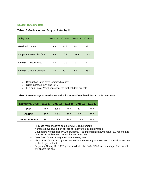#### **Student Outcome Data**

#### **Table 16 Graduation and Dropout Rates by %**

| Subgroup                     | $2012 - 13$ |      | 2013-14 2014-15 2015-16 |      |
|------------------------------|-------------|------|-------------------------|------|
| <b>Graduation Rate</b>       | 79.9        | 85.3 | 84.1                    | 83.4 |
| Dropout Rate (Cohort)4yr)    | 15.5        | 10.8 | 10.9                    | 11.5 |
| <b>OUHSD Dropout Rate</b>    | 14.8        | 10.9 | 9.4                     | 8.3  |
| <b>OUHSD Graduation Rate</b> | 77.5        | 80.2 | 82.1                    | 83.7 |

- Graduation rates have remained steady
- Slight increase 80% and 83%
- ELs and Foster Youth represent the highest drop out rate

#### **Table 19 Percentage of Graduates with all courses Completed for UC / CSU Entrance**

| <b>Institutional Level</b> | 2012-13 |      | 2013-14 2014-15 2015-16 |      | 2016-17 |
|----------------------------|---------|------|-------------------------|------|---------|
| <b>PHS</b>                 | 28.1    | 36.5 | 29.8                    | 31.1 | 30.6    |
| <b>OUHSD</b>               | 25.5    | 29.1 | 26.3                    | 271  | 28.0    |
| <b>Ventura County</b>      | 36.2    | 36.9 | 36.6                    | 34.2 | n/a     |

- PHS has more students completing A-G requirements
- Numbers have leveled off but are still above the district average
- Counselors worked closely with students. Taught students how to read TES reports and provided incentives such as t-shirts and ice cream.
- Over 650 10<sup>th</sup> and 11<sup>th</sup> graders are meeting A-G
- About 326 10<sup>th</sup> and 11<sup>th</sup> graders were close to meeting A-G. Met with Counselors to creat a plan to get on track.
- Beginning Spring 2018 11<sup>th</sup> graders will take the SAT/ PSAT free of charge. The district will absorb the cost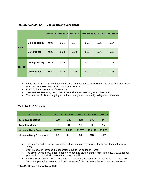|              |                      |      |      |      |      | 2015 ELA 2016 ELA 2017 ELA 2015 Math 2016 Math 2017 Math |      |
|--------------|----------------------|------|------|------|------|----------------------------------------------------------|------|
| <b>PHS</b>   | <b>College Ready</b> | 0.05 | 0.21 | 0.17 | 0.03 | 0.05                                                     | 0.04 |
|              | <b>Conditional</b>   | 0.23 | 0.34 | 0.28 | 0.12 | 0.16                                                     | 0.13 |
| <b>OUHSD</b> | <b>College Ready</b> | 0.12 | 0.19 | 0.17 | 0.06 | 0.07                                                     | 0.08 |
|              | <b>Conditional</b>   | 0.29 | 0.33 | 0.29 | 0.12 | 0.17                                                     | 0.16 |

#### **Table 22 CAASPP EAP – College Ready / Conditional**

- Since the 2015 CAASPP implementation, there has been a narrowing of the gap of college ready students from PHS compared to the district in ELA
- In 2016, there was a loss of momentum
- Teachers are analyzing test scores to see what the areas of greatest need are
- The number of Hispanics going to both university and community college has increased

| <b>Sub Group</b>                 | 2012-13 | 2013-14 | 2014-15 | 2015-16 | 2016-17 |
|----------------------------------|---------|---------|---------|---------|---------|
| <b>Total Suspensions</b>         | 219     | 190     | 268     | 370     | 344     |
| <b>Total Expulsions</b>          | 18      | 19      | 18      | 26      | 15      |
| <b>Violence/Drug Suspensions</b> | 122/88  | 65/42   | 119/70  | 139/113 | 199/69  |
| <b>Violence/Drug Expulsions</b>  | 8/0     | 11/1    | 9/2     | 9/10    | 10/2    |

#### **Table 24 PHS Discipline**

- The number and cause for suspensions have remained relatively steady over the past several years
- 2014-15 saw an increase in suspensions due to the abuse of Xanax
- The city of Oxnard saw a rise in gang violence and drug related crimes, in the 2015-2016 school year, which had a trickle-down effect here at Pacifica.
- A more recent analysis of the suspension data, comparing quarter 1 from the 2016-17 and 2017- 18 school years, indicates a continued decrease, 31%, in the number of overall suspensions.

#### **Table 25 D and F Schoolwide Data**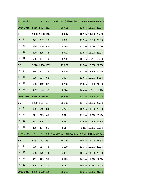|                       | Yr/Term/Gr | D   | F               |     | FA Grand Total (All Grades) D Rate F Rate I/F Rate |       |                   |             |
|-----------------------|------------|-----|-----------------|-----|----------------------------------------------------|-------|-------------------|-------------|
|                       | 2014-2015  |     | 4,666 4,024 312 |     | 39,616                                             | 11.8% |                   | 11.0% 23.0% |
| S <sub>1</sub>        |            |     | 2,456 2,158 145 |     | 20,337                                             | 12.1% | 11.0% 23.0%       |             |
| $\blacktriangleright$ | - 9        | 641 | 687             | 16  | 5,382                                              |       | 11.9% 13.0% 25.0% |             |
| $\blacktriangleright$ | 10         | 689 | 649             | 45  | 5,275                                              | 13.1% | 13.0% 26.0%       |             |
| ➤                     | $-11$      | 620 | 495             | 44  | 4,971                                              | 12.5% | 11.0% 23.0%       |             |
| ➤                     | 12         | 506 | 327             | 40  | 4,709                                              | 10.7% | 8.0%              | 19.0%       |
| <b>S2</b>             |            |     | 2,210 1,866 167 |     | 19,279                                             | 11.5% | 10.5% 22.0%       |             |
| $\blacktriangleright$ | 9          | 614 | 691             | 36  | 5,260                                              | 11.7% | 13.8% 25.5%       |             |
| $\blacktriangleright$ | 10         | 586 | 584             | 62  | 5,037                                              | 11.6% | 12.8% 24.5%       |             |
| ➤                     | 11         | 563 | 442             | 37  | 4,766                                              | 11.8% | 10.1% 21.9%       |             |
| $\geq 12$             |            | 447 | 149             | 32  | 4,216                                              | 10.6% | 4.3%              | 14.9%       |
|                       | 2015-2016  |     | 4,385 4,069 417 |     | 39,583                                             | 11.1% | 11.3% 22.4%       |             |
| S <sub>1</sub>        |            |     | 2,298 2,167 184 |     | 20,196                                             | 11.4% | 11.6% 23.0%       |             |
| $\blacktriangleright$ | 9          | 639 | 549             | 34  | 5,277                                              |       | 12.1% 11.0% 23.2% |             |
| ➤                     | 10         | 671 | 719             | 69  | 5,521                                              | 12.2% | 14.3% 26.4%       |             |
|                       | 11         | 562 | 495             | 30  | 4,881                                              |       | 11.5% 10.8% 22.3% |             |
| > 12                  |            | 426 | 404             | 51  | 4,517                                              | 9.4%  |                   | 10.1% 19.5% |
|                       | Yr/Term/Gr | D   | F               |     | FA Grand Total (All Grades) D Rate F Rate I/F Rate |       |                   |             |
| <b>S2</b>             |            |     | 2,087 1,902 233 |     | 19,387                                             | 10.8% | 11.0% 21.8%       |             |
| $\blacktriangleright$ | 9          | 576 | 567             | 48  | 5,120                                              | 11.3% | 12.0% 23.3%       |             |
| $\blacktriangleright$ | 10         | 583 | 679             | 100 | 5,457                                              | 10.7% | 14.3% 25.0%       |             |
| ➤                     | 11         | 482 | 473             | 58  | 4,699                                              | 10.3% | 11.3% 21.6%       |             |
| $\blacktriangleright$ | 12         | 446 | 183             | 27  | 4,111                                              | 10.8% | 5.1%              | 16.0%       |
|                       | 2016-2017  |     | 4,286 3,679 166 |     | 38,215                                             | 11.2% |                   | 10.1% 21.3% |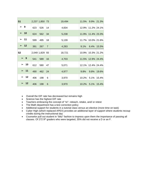| S <sub>1</sub>        |           |     | 2,237 1,850 73 |                | 19,494 |       | 11.5% 9.9% 21.3%  |            |
|-----------------------|-----------|-----|----------------|----------------|--------|-------|-------------------|------------|
| > 9                   |           | 623 | 526            | 14             | 4,834  |       | 12.9% 11.2% 24.1% |            |
| $\blacktriangleright$ | $-10$     | 624 | 562            | 34             | 5,238  |       | 11.9% 11.4% 23.3% |            |
|                       | > 11      | 599 | 495            | 18             | 5,139  | 11.7% | 10.0% 21.6%       |            |
|                       | $\geq$ 12 | 391 | 267            | $\overline{7}$ | 4,283  | 9.1%  | 6.4% 15.5%        |            |
| S <sub>2</sub>        |           |     | 2,049 1,829 93 |                | 18,721 | 10.9% | 10.3% 21.2%       |            |
|                       | > 9       | 541 | 589            | 16             | 4,703  |       | 11.5% 12.9% 24.4% |            |
|                       | $\geq 10$ | 612 | 580            | 47             | 5,071  |       | 12.1% 12.4% 24.4% |            |
|                       | > 11      | 490 | 462            | 24             | 4,977  | 9.8%  |                   | 9.8% 19.6% |
|                       | > 12      | 406 | 198            | 6              | 3,970  | 10.2% | 5.1% 15.4%        |            |
|                       | > 12      | 406 | 198            | $6\phantom{1}$ | 3,970  | 10.2% | 5.1% 15.4%        |            |

- Overall the D/F rate has decreased but remains high
- Science has the highest D/F rate
- Teachers embracing the concept of "re"- reteach, retake, and/ or retest
- The Math department has a test correction policy
- Additional support for students in a tutorial class versus an elective (more time on task)
- Cyber High (which replaced APEX) provides an additional layer of support where students recoup credits during the instructional day
- Counselor pull out student in "blitz" fashion to impress upon them the importance of passing all classes. Of 272 9<sup>th</sup> graders who were targeted, 35% did not receive a D or an F.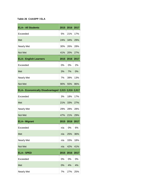#### **Table 26 CAASPP / ELA**

| <b>ELA-- All Students</b>                          | 2015 | 2016 | 2017 |
|----------------------------------------------------|------|------|------|
| Exceeded                                           | 5%   | 21%  | 17%  |
| Met                                                | 24%  | 34%  | 29%  |
| <b>Nearly Met</b>                                  | 30%  | 26%  | 28%  |
| Not Met                                            | 41%  | 20%  | 27%  |
| <b>ELA-- English Learners</b>                      | 2015 | 2016 | 2017 |
| Exceeded                                           | 0%   | 0%   | 2%   |
| Met                                                | 3%   | 7%   | 0%   |
| <b>Nearly Met</b>                                  | 7%   | 39%  | 13%  |
| Not Met                                            | 90%  | 55%  | 86%  |
| ELA-- Economically Disadvantaged 2,015 2,016 2,017 |      |      |      |
| Exceeded                                           | 3%   | 18%  | 17%  |
| Met                                                | 21%  | 33%  | 27%  |
| <b>Nearly Met</b>                                  | 29%  | 28%  | 28%  |
| Not Met                                            | 47%  | 21%  | 29%  |
| <b>ELA-- Migrant</b>                               | 2015 | 2016 | 2017 |
| Exceeded                                           | n/a  | 0%   | 6%   |
| Met                                                | n/a  | 25%  | 36%  |
| <b>Nearly Met</b>                                  | n/a  | 33%  | 18%  |
| Not Met                                            | n/a  | 42%  | 41%  |
| <b>ELA-- SPED</b>                                  | 2015 | 2016 | 2017 |
| Exceeded                                           | 0%   | 0%   | 0%   |
| Met                                                | 0%   | 4%   | 4%   |
| <b>Nearly Met</b>                                  | 7%   | 27%  | 25%  |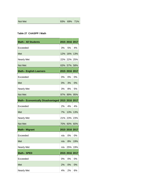| Not Met |  | 93% 69% 71% |  |
|---------|--|-------------|--|
|---------|--|-------------|--|

#### **Table 27 CAASPP / Math**

| <b>Math-- All Students</b>                    |      | 2015 2016 2017 |     |
|-----------------------------------------------|------|----------------|-----|
| Exceeded                                      | 3%   | 5%             | 4%  |
| Met                                           | 12%  | 16%            | 13% |
| <b>Nearly Met</b>                             | 22%  | 22%            | 25% |
| Not Met                                       | 63%  | 57%            | 58% |
| <b>Math-- English Learners</b>                |      | 2015 2016 2017 |     |
| Exceeded                                      | 0%   | 0%             | 0%  |
| Met                                           | 0%   | 3%             | 0%  |
| <b>Nearly Met</b>                             | 3%   | 8%             | 5%  |
| Not Met                                       | 97%  | 89%            | 95% |
| <b>Math-- Economically Disadvantaged 2015</b> |      | 2016 2017      |     |
| Exceeded                                      | 2%   | 4%             | 4%  |
| Met                                           | 7%   | 13%            | 13% |
| <b>Nearly Met</b>                             | 21%  | 23%            | 23% |
| Not Met                                       | 70%  | 60%            | 60% |
| <b>Math-- Migrant</b>                         |      | 2015 2016 2017 |     |
| Exceeded                                      | n/a  | 0%             | 0%  |
| Met                                           | n/a  | 8%             | 19% |
| <b>Nearly Met</b>                             | n/a  | 25%            | 19% |
| <b>Math-- SPED</b>                            | 2015 | 2016 2017      |     |
| Exceeded                                      | 0%   | 0%             | 0%  |
| Met                                           | 2%   | 0%             | 0%  |
| <b>Nearly Met</b>                             | 4%   | 2%             | 6%  |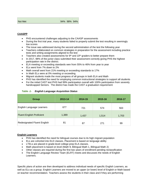Not Met 34% 98% 94%

#### **CAASPP**

- PHS encountered challenges adjusting to the CAASP assessments
- During the first trial year, many students failed to properly submit the test resulting in seemingly low scores
- The issue was addressed during the second administration of the test the following year
- Teachers collaborated on common strategies in preparation for the assessment including practice tests and writing assignments aligned to the test
- Teachers also created assessments for  $9<sup>th</sup>$  and 10<sup>th</sup> graders to better prepare them
- In 2017, 98% of the junior class submitted their assessment correctly giving PHS the highest participation rate in the district.
- ELA meeting or exceeding standards wen from 55% to 46% from year to year
- ELs went from 7% down to 2%
- Math overall went from 21% meeting or exceeding standards to 17%
- In Math ELs were at 0% meeting or exceeding
- Migrant students made the most progress of all groups in both ELA and Math
- PHS has identified the need for employing common instructional strategies to support all students
- For the initial CAST test PHS had 99% participation overall with 100% participation from severely handicapped Seniors. The district has made the CAST a graduation requirement

| <b>Group</b>                       | 2013-14 | 2014-15 | 2015-16 | 2016-17 |
|------------------------------------|---------|---------|---------|---------|
| English Language Learners          | 677     | 721     | 574     | 563     |
| <b>Fluent English Proficient</b>   | 1,389   | 1,437   | 1,514   | 1,703   |
| <b>Redesignated Fluent English</b> | 81      | 87      | 271     | 99      |

#### *Table -1- English Language Acquisition Status*

#### **English Learners**

- PHS has identified the need for bilingual courses due to its high migrant population
- ELs are cohorted into ELD classes. Placement is based on language ability
- LTELs are placed in grade-level college prep ELA classes.
- Math placement is based on level (Math 9, Bilingual Math 1, Bilingual Math 2)
- Other classes are required during the first two years of enrollment pending reclassification
- The English Language Review Team (ELRT) meets and discusses the needs of English Learners.

Specific plans of action are then developed to address individual needs of specific English Learners, as well as ELs as a group. English Learners are moved to an upper (or lower) level of English or Math based on teacher recommendation. Teachers assess the students in their class and if they are performing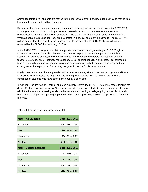above academic level, students are moved to the appropriate level; likewise, students may be moved to a lower level if they need additional support.

Reclassification procedures are in a time of change for the school and the district. As of the 2017-2018 school year, the CELDT will no longer be administered to all English Learners as a measure of reclassification. Instead, all English Learners will take the ELPAC in the Spring of 2018 to reclassify. When students are reclassified, they are celebrated in a special ceremony on campus. The CELDT will still be administered to initial English Learners new to the district in the 2017-2018, but will be fully replaced by the ELPAC by the spring of 2018.

In the 2016-2017 school year, the district supported each school site by creating an ELCC (English Learner Coordinating Council). The ELCC was formed to provide greater support to our English Learners. In order to do this, the district brings site and district administrators, mainstream content teachers, ELD specialists, Instructional Coaches, LDCs, general education and categorical counselors together to build instructional, administrative and counseling capacity, to support each other and our colleagues, with the purpose of accessing the goals in the California EL Roadmap.

English Learners at Pacifica are provided with academic tutoring after school. In this program, California Mini-Corps teacher assistants help out in the tutoring class geared towards newcomers, which is comprised of students who have been in the country a short time.

In addition, Pacifica has an English Language Advisory Committee (ELAC). The district office, through the district English Language Advisory Committee, provides parent and student conferences on weekends in which the focus is on increasing student achievement and creating a college going culture. Pacifica also has a very active parent support group for English Learners, providing additional support for the students at home.

| <b>Math-- All Students</b>     |       | 2015 2016 2017 |             |
|--------------------------------|-------|----------------|-------------|
| Exceeded                       | 3%    | .5%            | $4\%$       |
| Met                            |       | 12% 16%        | 13%         |
| Nearly Met                     |       |                | 22% 22% 25% |
| Not Met                        |       | 63% 57% 58%    |             |
| <b>Math-- English Learners</b> |       | 2015 2016 2017 |             |
| Exceeded                       | 0%    | $0\%$          | 0%          |
|                                |       |                |             |
| Met                            | $0\%$ | 3%             | $0\%$       |
| Nearly Met                     | 3%    | 8%             | 5%          |

Table 28 English Language Acquisition Status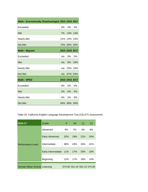| Math-- Economically Disadvantaged 2015 2016 2017 |     |                |         |
|--------------------------------------------------|-----|----------------|---------|
| Exceeded                                         | 2%  | 4%             | 4%      |
| Met                                              | 7%  | 13%            | 13%     |
| <b>Nearly Met</b>                                | 21% | 23%            | 23%     |
| Not Met                                          |     | 70% 60%        | $ 60\%$ |
| <b>Math-- Migrant</b>                            |     | 2015 2016 2017 |         |
|                                                  |     |                |         |
| Exceeded                                         | n/a | 0%             | 0%      |
| Met                                              | n/a | 8%             | 19%     |
| <b>Nearly Met</b>                                | n/a | 25%            | 19%     |
| <b>Not Met</b>                                   | n/a | 67%            | 63%     |
| <b>Math-- SPED</b>                               |     | 2015 2016 2017 |         |
| Exceeded                                         | 0%  | 0%             | 0%      |
| Met                                              | 2%  | $0\%$          | 0%      |
| <b>Nearly Met</b>                                | 4%  | 2%             | 6%      |
| Not Met                                          |     | 94% 98% 94%    |         |

Table 29 California English Language Development Test (CELDT) Assessment

| 2016-17                      | Grade                 | 9   | 10  | 11                          | 12  |
|------------------------------|-----------------------|-----|-----|-----------------------------|-----|
|                              | Advanced              | 4%  | 7%  | 4%                          | 6%  |
|                              | <b>Early Advanced</b> | 32% | 19% | 21%                         | 24% |
| <b>Performance Level</b>     | Intermediate          | 38% | 43% | 34%                         | 41% |
|                              | Early Intermediate    | 11% | 17% | 20%                         | 18% |
|                              | Beginning             | 12% | 17% | 18%                         | 14% |
| Domain Mean Scores Listening |                       |     |     | 570.90 551.40 552.10 575.60 |     |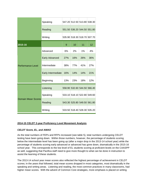|                          | Speaking                                                                                                                                                                                                                                   |                                                                                                                                                                                                                                     |     |                 |
|--------------------------|--------------------------------------------------------------------------------------------------------------------------------------------------------------------------------------------------------------------------------------------|-------------------------------------------------------------------------------------------------------------------------------------------------------------------------------------------------------------------------------------|-----|-----------------|
|                          | Reading                                                                                                                                                                                                                                    |                                                                                                                                                                                                                                     |     |                 |
|                          | Writing<br>10 <sup>°</sup><br>9<br>6%<br>2%<br>Advanced<br><b>Early Advanced</b><br>27%<br>16%<br>Intermediate<br>77%<br>38%<br>Early Intermediate<br>16%<br>14%<br>Beginning<br>13%<br>23%<br>Listening<br>Speaking<br>Reading<br>Writing |                                                                                                                                                                                                                                     |     |                 |
| 2015-16                  |                                                                                                                                                                                                                                            |                                                                                                                                                                                                                                     | 11  | 12 <sup>2</sup> |
|                          |                                                                                                                                                                                                                                            |                                                                                                                                                                                                                                     | 1%  | 4%              |
|                          |                                                                                                                                                                                                                                            |                                                                                                                                                                                                                                     | 26% | 36%             |
| <b>Performance Level</b> |                                                                                                                                                                                                                                            |                                                                                                                                                                                                                                     | 41% | 27%             |
|                          |                                                                                                                                                                                                                                            |                                                                                                                                                                                                                                     | 14% | 21%             |
|                          |                                                                                                                                                                                                                                            | 547.20 512.50 513.80 538.30<br>551.50 536.20 544.50 551.80<br>535.90 518.30 518.70 507.70<br>18%<br>12%<br>558.90 532.60 544.50 566.40<br>533.10 518.10 522.80 549.60<br>543.30 525.80 549.50 561.80<br>533.50 518.40 528.30 535.20 |     |                 |
|                          |                                                                                                                                                                                                                                            |                                                                                                                                                                                                                                     |     |                 |
|                          |                                                                                                                                                                                                                                            |                                                                                                                                                                                                                                     |     |                 |
| Domain Mean Scores       |                                                                                                                                                                                                                                            |                                                                                                                                                                                                                                     |     |                 |
|                          |                                                                                                                                                                                                                                            |                                                                                                                                                                                                                                     |     |                 |

#### **2014-15 CELDT 2-year Proficiency Level Movement Analysis**

#### *CELDT Score, EL, and AMAO*

As the total numbers of FEPs and RFPs increased (see table 5), total numbers undergoing CELDT testing have been going down. Within those numbers, however, the percentage of students scoring below the intermediate level has been going up (after a major drop in the 2013-14 school year) while the percentage of students scoring early advanced or advanced has gone down, dramatically in the 2015-16 school year. This corresponds to the low level of EL students scoring at proficient levels on the CAASPP as well, suggesting that Pacifica staff need to give more thought to what can be done in instruction to assist the learning of these students.

The 2013-14 school year mean scores also reflected the highest percentage of achievement in CELDT scores; in the years that followed, total mean scores dropped in most categories, most dramatically in the speaking and writing areas. Listening and reading, the most common practices in many classrooms, had higher mean scores. With the advent of Common Core strategies, more emphasis is placed on writing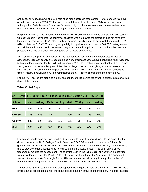and especially speaking, which could help raise mean scores in those areas. Performance levels have also dropped since the 2013-2014 school year, with fewer students placing "Advanced" each year. Although the "Early Advanced" numbers fluctuate wildly, it is because some years more students are being labeled as "Intermediate" instead of going up a level to "Advanced."

Beginning in the 2017-2018 school year, the CELDT will only be administered to initial English Learners who have recently come into the country or students who are new to the district and do not have any language information on file. All other English Learners, including long-term English Learners (LTELs), will complete the ELPAC. This test, given partially in digital format, will use the CAASPP testing system and will be administered within the same spring window. Pacifica piloted this test in the fall of 2017 and proctors were able to preview what language skills would be assessed.

SAT scores are improving and narrowing the gap between Pacifica and the overall district results although the gap with county averages remains high. Pacifica teachers have been using Khan Academy to help students prepare for the SAT. In the spring of 2017, the English department got all 9th, 10th, and 11th graders on Khan Academy and linked their College Board account, giving students personalized PSAT and SAT practice in both English and Math. Spring 2018 will mark the first time in school (and district) history that all juniors will be administered the SAT free of charge during the school day.

For the ACT, scores are dropping slightly and continue to lag behind the overall district results as well as those of the county.

| SAT Report 2012-13 2012-13 2013-14 2013-14 2014-15 2014-15 2015-16 2015-16 |             |                |             |                |             |                |             |                |
|----------------------------------------------------------------------------|-------------|----------------|-------------|----------------|-------------|----------------|-------------|----------------|
| <b>School</b>                                                              | <b>Math</b> | <b>Writing</b> | <b>Math</b> | <b>Writing</b> | <b>Math</b> | <b>Writing</b> | <b>Math</b> | <b>Writing</b> |
| <b>PHS</b>                                                                 | 466         | 442            | 460         | 443            | 467         | 454            | 445         | 420            |
| <b>OUHSD</b>                                                               | 495         | 468            | 488         | 471            | 490         | 471            | 483         | 460            |
| County                                                                     | 540         | 527            | 533         | 516            | 531         | 514            | 527         | 508            |
| <b>State</b>                                                               | 508         | 492            | 506         | 489            | 500         | 484            | 494         | 477            |

#### **Table 30 SAT Report**

Pacifica has made huge gains in PSAT participation in the past few years thanks to the support of the district. In the fall of 2015, College Board offered the PSAT 8/9 for the first time ever to 8th and 9th graders. The test was designed to predict their future performance on the PSAT/NMSQT and the SAT, and to provide valuable feedback as to their strengths and weaknesses. That year, only eighteen freshmen completed the assessment. The following year, in the fall of 2016, all freshmen district-wide were provided access to the PSAT 8/9 free of charge thanks to the district's initiative at providing all students the opportunity for a bright future. Although scores went down significantly, the number of freshmen completing the test increased by 685, for a total number of 703 test-takers.

The fall of 2016 marked the first time that sophomores and juniors were given the PSAT/NMSQT free of charge during school hours under the same college-bound initiative as the freshmen. The drop in scores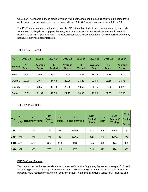was clearly noticeable in these grade levels as well, but the increased exposure followed the same trend as the freshmen: sophomore test-takers jumped from 85 to 767, while juniors rose from 263 to 702.

The PSAT data was also used to determine the AP potential of students who are not currently enrolled in AP courses. Collegeboard.org provided suggested AP courses that individual students could excel in based on their PSAT performance. This allowed counselors to target students for AP enrollment who may not have otherwise been interested.

| <b>ACT</b>    | 2012-13        | 2012-13                        | 2013-14                        | 2013-14                 | 2014-15               | 2014-15                 | 2015-16            | 2015-16                 |
|---------------|----------------|--------------------------------|--------------------------------|-------------------------|-----------------------|-------------------------|--------------------|-------------------------|
| <b>School</b> | $\%$<br>Tested | <b>Average</b><br><b>Score</b> | $\frac{9}{6}$<br><b>Tested</b> | Average<br><b>Score</b> | $\%$<br><b>Tested</b> | Average<br><b>Score</b> | %<br><b>Tested</b> | Average<br><b>Score</b> |
| <b>PHS</b>    | 13.93          | 20.00                          | 15.01                          | 19.50                   | 13.43                 | 19.25                   | 12.76              | 18.75                   |
| <b>OUHSD</b>  | 12.96          | 20.74                          | 14.48                          | 20.25                   | 15.20                 | 21.00                   | 13.68              | 20.75                   |
| County        | 17.75          | 23.50                          | 18.49                          | 23.25                   | 19.58                 | 23.75                   | 18.92              | 23.75                   |
| <b>State</b>  | 18.31          | 21.87                          | 19.58                          | 21.75                   | 20.98                 | 22.00                   | 22.05              | 22.00                   |

Table 31 ACT Report

#### Table 32 PSAT Data

| Year     | 9th | 9th<br><b>Math Reading/Writing</b> | 9th<br><b>Scaled</b><br><b>Score</b> | 10 <sub>th</sub><br><b>Math</b> | 10 <sub>th</sub><br><b>Reading/Writing</b> | 10 <sub>th</sub><br><b>Scaled</b><br><b>Score</b> | 11 <sub>th</sub><br><b>Math</b> | 11th<br>Reading/<br><b>Writing</b> | 11 <sub>th</sub><br><b>Scaled</b><br><b>Score</b> |
|----------|-----|------------------------------------|--------------------------------------|---------------------------------|--------------------------------------------|---------------------------------------------------|---------------------------------|------------------------------------|---------------------------------------------------|
| 2013     | n/a | n/a                                | n/a                                  | 41                              | 39/39                                      | n/a                                               | 46                              | 46/44                              | n/a                                               |
| 2014     | n/a | n/a                                | n/a                                  | 45                              | 43/41                                      | n/a                                               | 44                              | 42/41                              | n/a                                               |
| 2015     | 436 | 429                                | 864                                  | 478                             | 468                                        | 945                                               | 476                             | 474                                | 950                                               |
| 2016 379 |     | 386                                | 765                                  | 406                             | 407                                        | 814                                               | 422                             | 428                                | 850                                               |

#### **PHS Staff and Faculty**

Teacher- student ratios are consistently close to the Collective Bargaining Agreement average of 28 used for staffing purposes. Average class sizes in most subjects are higher than in 2013-14; math classes in particular have reduced the number of smaller classes. In order to allow for a variety of AP classes and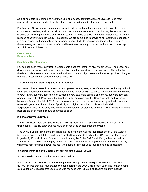smaller numbers in reading and freshman English classes, administration endeavors to keep most teacher class sizes and daily student contacts as close to the contractual limits as possible.

Pacifica High School enjoys an outstanding staff of dedicated and hard-working professionals clearly committed to teaching and serving all of our students; we are committed to embracing the four "R's" of success by providing a rigorous and relevant curriculum while establishing strong relationships, all for the purpose of achieving stellar results. In addition, we are committed to providing an outstanding education in a safe, caring, and personalized environment where students focus on academic achievement, have the necessary supports to be successful, and have the opportunity to be involved in extracurricular sports and clubs of the highest quality.

#### **CHAPTER 2 Progress Report**

#### **Significant Developments**

Pacifica has seen many significant developments since the last full WASC Visit in 2011. The school has developed a supportive college and career culture and has introduced new academies. The school and the district office have a clear focus on education and community. These are the most significant changes that have impacted our school community since 2012:

#### **1. Administrative Leadership and Staff Changes:**

Dr. DeLeon has a career in education spanning over twenty years, most of them spent at the high school level. She is focused on closing the achievement gap for all OUHSD students and subscribes to the motto "every"-- as in, every student here can succeed, every student is capable of learning, every student can graduate high school. Pacifica staff subscribes to DeLeon's philosophy. New principal Ted Lawrence become a Triton in the fall of 2016. Mr. Lawrence proved to be the right person to give fresh voice and renewed vigor to Pacifica's culture of positivity and high expectations. His Principal's vision of #expectexcellence #wintheday was immediately embraced by students and staff. The Assistant Principal position has been more fluid and continues to be so.

#### **2. Loss of Revenue/Grants:**

The school lost its Safe and Supportive Schools S3 grant which it used to reduce tardies from 2011-12 until recently. Regular tardy sweeps have been replaced by less frequent sweeps.

The Oxnard Union High School District is the recipient of the College Readiness Block Grant, worth a total of just over \$1,500,000. The district allocated the money to funding the PSAT for all district students in grades 9, 10, and 11, and, for the first time in spring 2018, the SAT for all 11th graders in the district. The money will also be used to pay for one college application for all eligible seniors in the fall of 2018, with those receiving free and/or reduced lunch being eligible for up to four free college applications.

#### **3. Course Offerings and Master Schedule Updates (2012 - 2017):**

Student need continues to drive our master schedule.

In the absence of CAHSEE, the English department brought back an Expository Reading and Writing (ERWC) course that they had previously been offered in the 2014-2015 school year. The former reading elective for lower readers that used Edge was replaced with iLit, a digital reading program that has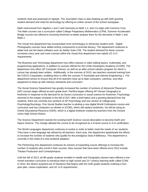students read and assessed on laptops. The Journalism class is also keeping up with both growing student demand and need for technology by offering an online version of the school newspaper.

Math restructured from Algebra 1 and 2 and Geometry to Math 1,2, and 3 to align with Common Core. The Math courses use a curriculum called College Preparatory Mathematics (CPM). Summer Accelerated Bridge courses are offered to incoming freshmen to better prepare them for the demands in Math 1 and Math 2.

The Visual Arts department has incorporated more technologuy to showcase student work. Digital Photography courses have added writing components to promote literacy. The department continues to adopt and use the latest software such as Adobe Suite CS6. The student demand for these courses increases every year and more courses within the Visual Arts department now satisfy UC A-G requirements.

The Business and Technology department now offers classes in video editing basics, multimedia, and programming applications, in addition to courses offered for the COde Developers Academy (CODE). The department now offers AP Computer Science, as well as an after-school robotics program for which a course has already been written. Additionally, in the summer of 2015, two teachers received training from the CISCO Corporation, enabling them to offer the courses IT Essentials and Internet Engineering 1. The department strives to ensure that all of its teachers have up to date computers, cameras, and other equipment to keep up with industry standards and curriculum.

The Social Science Department has greatly increased the number of sections of Advanced Placement (AP) courses begin offered at each grade level. Pacifica began offering AP Human Geography to freshmen in response to the demand for an honors curriculum in social science for freshmen. Psychology returned to the master schedule in the fall of 2017 after a brief hiatus and a growing demand from the students: there are currently two sections of AP Psychology and one section of college-prep Psychology/Sociology. One Social Studies teacher is piloting a new digital World Civilizations course and curriculum and has computers on wheels or (COW), which will replace textbooks. He will be using an Online Educational Resource (OER), which is a digital textbook created by teachers from the Oxnard Union High School District.

The Science Department rewrote the existing Earth Science course description to become Earth and Space Science. The change allowed the course to be recognized as a D-level course in A-G certification.

The World Languages department continues to evolve in order to better meet the needs of our students. They have a new language lab utilized by all teachers. Each year, this department spearheads the efforts to increase the number of students who qualify for the prestigious Seal of Biliteracy. This department is currently in the midst of a new textbook adoption.

The Performing Arts department continues its mission of expanding course offerings to increase the number of students who enroll in their courses. New courses that have been offered since 2012 include Theatre Production and Comedy/Improv.

Until the fall of 2013, all 9th grade students enrolled in Health and Geography classes were offered a onemonth transition curriculum to introduce them to high school and 21<sup>st</sup> century learning skills called COIN. In 2013, the district acquired use of Naviance that begins with the ninth grade students outlining a fouryear plan, career exploration, and UC A-G requirements.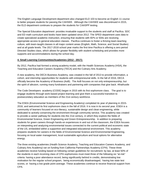The English Language Development department also changed ELD 103 to become an English 11 course to better prepare students for passing the CAHSEE. Although the CAHSEE was discontinued in 2015, the ELD department continues to prepare the students for CAASPP testing.

The Special Education department provides invaluable support to the students and staff at Pacifica. SDC and ED math curriculum and books have been updated since 2012. The SPED department uses data to create specialized academic instruction, ensuring that students with IEPs or 504s are receiving appropriate access to general education classes. Pacifica continues to foster a thriving team-teaching culture, with team-taught classes in all major content areas (English, Math, Science, and Social Studies) and at all grade levels. The 2017-2018 school year marks the first time Pacifica is offering a zero period Directed Studies class, which allows for greater flexibility with student scheduling and provides more supports and accommodations during the school day.

#### **4. Small Learning Communities/Academies (2012 - 2017):**

By 2012, Pacifica had formed a strong academy model, with the Health Sciences Academy (HSA), the Teaching and Education Careers Academy (TECA) and the Culinary Arts Academy.

A new academy, the DECA Business Academy, was created in the fall of 2013 to provide information, a cohort, and internship opportunities for students with entrepreneurial skills. In the fall of 2016, DECA officially become the Academy of Business (AoB). The AoB focuses on not only entrepreneurship, but the spirit of altruism, running many fundraisers and partnering with companies that give back. #thathustle

The Code Developers academy (CODE) began in 2015 with its first sophomore class. The goal is to engage students through work-based project learning and give them a successful transition to postsecondary education as members of the 21st century workforce.

The ESEA (Environmental Science and Engineering Academy) completed its year of planning in 2015- 2016, and welcomed its first sophomore class in the fall of 2016. It is now in its second year. ESEA is a community of learners focused on eco-literacy, sustainable design and clean engineering, while dedicated to actively conserving the environment through community service. This academy was created to provide a career pathway for students into the 21st century, in which they explore the fields of Environmental Science, Green Engineering and Green Entrepreneurship. In addition to preparing students for green careers through hands-on experiences in and out of the classroom, the ESEA focuses on interpreting and analyzing environmental issues connected to the current political and economic state of the US, embedded within a supportive and integrated educational environment. This academy prepares students for careers in the fields of Environmental Science and Environmental Engineering, focusing on local water management, local sustainable agriculture and local options for alternative energy.

The three existing academies (Health Science Academy, Teaching and Education Careers Academy, and Culinary Arts Academy) ran on funding from California Partnerships Academy (CPA). These three academies receive funding based on following certain guidelines for recruitment: by law, at least 50% of the students in each incoming class of CPA sophomores must meet three of the following six "at-risk" criteria: having a poor attendance record, being significantly behind in credits, demonstrating low motivation for the regular school program, being economically disadvantaged, having low state test scores, or having a low grade point average. These academies continue to receive financial support from CPA.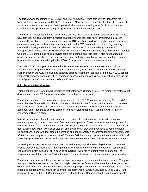The three newer academies (AoB, CODE, and ESEA), however, were started with funds from the National Academy Foundation (NAF). The focus on NAF academies is not "at-risk" students; instead, the focus has shifted to a work-based learning model with internships and greater flexibility with student schedules, and a push towards integrating AP classes into the academy model.

The three NAF-based academies at Pacifica, along with the other NAF-based academies in the district, have lost their funding. Academy directors and content-area teachers have turned towards Career Technical Education (CTE) as a means of funding. CTE certification allows a teacher to use past career experience, along with a few other requirements, to add a CTE designation to an existing teaching credential, allowing a teacher to teach an elective course specific to an academy, such as an Entrepreneurship class for AoB which focuses on finances. CTE then provides funding based on teachers who are CTE-certified, and helps alleviate costs for materials and field trips. A significant amount of academy money spent before the funding ended was on technology. Many academy content teachers have greater access to academy-funded COWs (computers on wheels) than ever before.

The 2014-2015 school year marked the implementation of an AVID (Advancement Via Individual Determination) program at Pacifica, targeting approximately 30 freshmen. The program now provides support through the AVID elective and cohorted classes to all four grade levels in the 2017-2018 school year. AVID students learn study skills, engage in rigorous academic activities, think critically through the tutorial process, and bond in team-building activities.

#### **5. Professional Development**

Triton staff has been hard at work integrating technology and Common Core. The majority of professional developments since 2012 have addressed one or both of those factors.

The district mandated the creation and implementation of a PLC (Professional Learning Community) model that Pacifica molded into the Pacifica Way. The PLCs have focused on the Common Core state standards, writing across the curriculum, and literacy. Departments at Pacifica take a data-driven approach, often meeting to analyze common formative assessments (CFAs) and CAASPP Interim Assessment Blocks (IABs).

Most departments continue to meet in grade-level groups to collaborate and plan, with many staff members planning to attend outside professional developments. These collaborations are supported by the Instructional Coach and the ten content-area leads appointed in the fall of 2017. These content leads (four English, four Math, two Social Studies, and one Biology) provide instructional support and lead collaborations, along with facilitating the creation and implementation of common formative assessments. AP teachers on campus have formed an AP Teacher Collaboration group, where they meet monthly and share best practices, curriculum, and support to teach each other in order to increase student success.

Increasing PD opportunities are shared with the staff through email or other digital means. These PD chunks provide tips, information, reading material, or directions meant to help teachers. Tech coaches often send "how to" guides for skills such as converting PDFs into Microsoft Word documents. The Instructional coach has sent out "skill of the month" emails focusing on different cross-curricular skills.

The district has increased the amount of in-house professional development they offer, as well. The past few years Pacifica has hosted the district's English Learner conference, where teachers throughout the district are invited to present best practices in targeting English Learners in different content areas. Topics presented included AVID for English Learners, assessments for English Learners such as CELDT and the new ELCAP, and the EL Roadmap created by the California Department of Education. Additionally,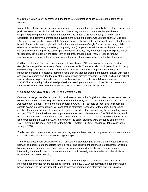the district held an Equity conference in the fall of 2017, promoting equitable education rights for all students.

Many of the cutting-edge technology professional development has been largely the result of a brand new position created at the district: Ed Tech Coordinator. Jay Sorenson is very hands-on with tech, supporting growing numbers of teachers attending the annual CUE conference (Computer-Using Educators) and gamifying professional development through the game OU Express on the Alludo app. OU Express asks teachers to complete "sorties," or tasks, that are both instructionally and technologically based. Some sorties are simple and can be done alone (create a Google Classroom account), while others force teachers to try something completely new (complete a Breakout EDU with your students). All sorties ask teachers to provide some type of evidence (a selfie, link, or screenshot). OU Express is free for teachers, can be done in the classroom or at home, provides quick "how to" videos for new technology, and increases teacher exposure to the newest technological and instructional resources.

Additionally, through Sorenson and supported by our district TAC (technology advisory committee), Google Bootcamp PDs have been offered on the weekends. The district also participated in an EdCamp with other high school (and middle school) teachers in the county; EdCamps are technology and instruction-centered professional learning events that are teacher-created and teacher-driven, with focus and objectives being decided the day of the event by participating teachers. Several Pacifica high school teachers have also participated in newer, more flexible forms of professional development such as #VCHSChat, a monthly Twitter-based professional learning community, and BrewEDU, a meet-up at a local brewery focused on informal discussion about all things tech and instruction.

#### **6. Goodbye CAHSEE, hello CAASPP and Common Core**

One major change that affected curriculum and assessment in the English and Math departments was the elimination of the California High School Exit Exam (CAHSEE), and the implementation of the California Assessment of Student Performance and Progress (CAASPP). Teachers collaborated to dissect the sample exams in order to identify skills and testing strategies necessary for the exam. Junior teams collaborated numerous times to share best practices and ideas for administering this demanding exam. Also in 2015-2016, the freshman and sophomore teams met to discuss which CAASPP skills they could begin to incorporate in their instruction and curriculum. In the fall of 2017, the Science department was also introduced to the world of SBAC testing when the senior students were chosen to complete the CAST (California Science Test) pilot for the CAASPP system. Full CAST testing will take place in the spring of 2018.

English and Math departments have been working in grade-level teams to implement common core state standards and to integrate CAASPP testing strategies.

The science department adopted the Next Gen Science Standards (NGSS) and then created a Pacifica pathway to incorporate four subjects in three years. The department continues to strengthen curriculum by adopting more inquiry-based approaches, incorporating analytical skills such as graphing and interpreting data/results, and an increased number of writing assignments, mathematical analysis, and research/project-based learning.

Social Studies teachers continue to use AVID (WICOR) strategies in their classrooms, as well as increased opportunities for project-based learning. In the 2016-2017 school year, the department also began working with the Instructional Coach to increase common core strategies and writing skills.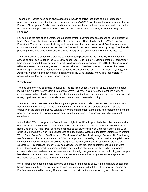Teachers at Pacifica have been given access to a wealth of online resources to aid all students in mastering common core standards and preparing for the CAASPP over the past several years, including Edmodo, Shmoop, and Study Island. Additionally, many teachers continue to use free versions of online resources that support common core state standards such as Khan Academy, CommonLit.org, and NewsELA.

Pacifica, and the district as a whole, are supported by four Learning Design coaches at the district level: Mona Pinon (English), Josh Chancer (Social Studies), Sonny Sajor (Math), and Erik Ward (Special Education). These coaches work closely with department chairs and Instructional Coaches to promote common core and to train teachers on the CAASPP testing system. These Learning Design Coaches also present professional development opportunities throughout the year such as district-wide jobalikes.

The increased focus on tech has also led to different tech positions as the site level, with one teacher serving as site Tech Coach in the 2016-2017 school year. Due to the increasing demand for technology trainings and support, the position is now split into four separate positions in the 2017-2018 school year with four new teachers serving as Tech Coaches. The Tech Coaches have each taken on the role of resident expert on various technology that supports instruction, such as Turn It In, Alludo, Synergy, etc. Additionally, three other teachers have been named PHS Web Masters, and will be responsible for updating the content and style of Pacifica's website.

#### **7. Technology**

The use of technology continues to evolve at Pacifica High School. In the fall of 2012, teachers began learning the district's new student information system, Synergy, which increased teachers' ability to communicate with each other and parents about student attendance, grades, and needs via seating chart notes, digital referrals, emails to students and parents, and class-wide postings.

The district trained teachers on the learning management system called Desire2Learn for several years. Pacifica had three tech coaches/teachers take the lead in training all teachers about the use and capability of the program. Desire2Learn is a learning management system that helps teachers extend the physical classroom into a virtual environment as well as provide a more individualized educational experience.

In the 2014-2015 school year, the Oxnard Union High School District provided all enrolled students with office 2013 suite and Office 2013 for mobile at no cost. Students are able to download this software for home use on a PC, Mac, iPad, or Android app due to our partnership with Microsoft Corporation. With office 365, all Oxnard Union High School District students have access to the latest versions of Microsoft Word, Excel, PowerPoint, OneNote, and 1 Terabyte of OneDrive cloud storage. Between 2013 and today, Pacifica has acquired a large number of COWs (Computers on Wheels). These portable laptop labs have increased the number of teachers able to incorporate research, simulations, streaming, etc. in their classrooms. This increase in technology has allowed English teachers to better meet Common Core State Standards that directly incorporate technology and has allowed all teachers to better promote college and career readiness anchor standards. Additionally, the greater access to technology on campus has allowed English and Math teachers to provide more practice time using the CAASPP system, which has made our students more familiar with the test.

While laptops have been the gold standard on campus, in the spring of 2017 the district and school sites began exploring other, less costly ways to increase technology. In the fall of 2017, several teachers on Pacifica's campus will be piloting Chromebooks as a result of a technology focus group. To date, we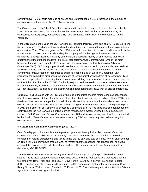currently have 46 total carts made up of laptops and Chromebooks, a 110% increase in the amount of carts available to teachers in the 2013-14 school year.

The Oxnard Union High School District has continued to dedicate resources to strengthen the school's Wi-Fi network. Each year, our bandwidth has become stronger and has had a greater capacity for connectivity. Consequently, our school's daily news broadcast, Triton Talk, is now streamed live on YouTube.

In the 2015-2016 school year, the OUHSD schools, including Pacifica, were part of a JET (Joint Ed Tech) Review, in which a third party interviewed staff and students and surveyed the current technological state of the district. The JET results gave the OUHSD items to do now, items to do soon, and items to do in the future. Some "do now" items include adding the Google platform, letting site licenses expire for companies no longer used by a majority of the staff, and focusing money on site licenses that would greatly benefit the staff and students in terms of technology and/or Common Core. One of the most beneficial things to arise from the JET Review was the creation of a district Technology Advisory Committee (TAC). TAC is a group of IT staff, teachers, administrators, and supporters who are ready to fully move Pacifica and the OUHSD into the 21st century. The main focus of the tech committee is currently no (or low) cost tech resources to enhance teaching. Led by Ed Tech Coordinator Jay Sorenson, the committee discusses pros and cons of technological changes from all perspectives. TAC has been responsible for increasing technology access, piloting new programs on certain campuses (like No Red Ink at Pacifica in the 2017-2018 school year), and an increased communication between district and site personnel, as well as between teachers and IT techs. One new method of communication is the Ed Tech Newsletter, published by the district, which shares technology news with all district employees.

Currently, Pacifica, along with OUHSD as a whole, is in the midst of some major technological changes. After listening to a great deal of teacher and student feedback and heeding the advice of the JET Review, the district has become dual-platform. In addition to Microsoft access, all staff and students now have Google access, with many of our teachers utilizing Google Classroom to streamline their digital footprint. In 2017 the district not only opened up access to Google and all of its free apps, but also abandoned the costly D2L for the free Canvas, an online learning management system utilized by local community colleges. Both Canvas and Google Classroom replace D2L as learning management systems supported by the district. Many of these decisions were fostered by TAC, and were only reached after lengthy discussion and research.

#### **8. Culture and Community Connection (2012 - 2017):**

One of the biggest cultural unifiers in the past two years has been principal Ted Lawrence's vision statement #expectexcellence and #wintheday. Lawrence has turned the hashtags into a marketing campaign for raising expectations and taking things day by day, one step at a time. He can often be seen on Triton Talk, our daily news program and, no matter what the reason for his appearance, he always ends with his uplifting motto, which staff and students alike shout along with him: #expectexcellence #wintheday GO TRITONS!

Triton Athletics continue to be increasingly successful. Both boys and girls sports have taken home several Pacific View League Championships since 2012, including four sports who won league for the first time ever: Boys Track and Field (2017), Boys Tennis (2017), Girls Tennis (2017), and Football (2017). Pacifica was also recognized three times as CIF Champions of Character: winners were Coach Randy Guzik in 2014 for tennis, Coach Jon McFarland in 2015 for swimming, and student-athlete Cristian Ayala in 2015 for wrestling and football.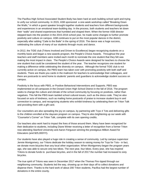The Pacifica High School Associated Student Body has been hard at work building school spirit and trying to unify our school community. In 2015, ASB sponsored a one-week workshop called "Breaking Down the Walls," in which a guest speaker brought together students and teachers from different backgrounds and experiences in an emotional team-building day. In the process, both students and teachers let down their "walls" and shared experiences that humbled and shaped them. When the former ASB director stepped back into the position in the 2015-2016 school year, he made some changes to further promote positivity and culture on campus. ASB continues to put on the most popular dances in the district, especially after adding "Caile to the Baile" in the spring of 2016. The dance was a huge success, celebrating the culture of many of our students through music and dance.

In 2012, the TIDE club (Tritons Involved and Driven to Excellence) began recognizing students on a monthly basis and began a new awards program, the People's Choice Awards. Throughout the year teachers and staff members were invited each month to nominate the one student that they felt was making the most impact in class. The People's Choice Awards were designed for teachers to choose the one student that could be considered the student of the year. The teacher recognizes one student for making a difference while celebrating the diversity on campus. Although the formal TIDE club is not currently active on campus, the PBIS team has taken over with promoting positivity with both staff and students. There are thank-you cards in the mailroom for teachers to acknowledge their colleagues, and there are postcards to send home to students' parents and guardians to acknowledge student success on campus.

Positivity is the focus with PBIS, or Positive Behavioral Interventions and Supports. PBIS was implemented on all campuses in the Oxnard Union High School District in the fall of 2016. The program seeks to change the culture and climate of the school community by focusing on positives, rather than negatives. This fall the PBIS team tackled school cultural issues, such as the dress code. They've also focused on acts of kindness, such as mailing home postcards of praise to increase student buy-in and connection to campus, and recognizing students who exhibit kindness by celebrating them on Triton Talk and providing them with a gift card.

Our counselors are also spreading the joy on campus, by partnering with Toys 4 Tots and delivering gifts to the children enrolled at the daycare program on campus. They're also brightening up our week with "Counselor's Corner" on Triton Talk, complete with its own opening credits.

Our teachers also work hard to impact the lives of those around them. Many have been recognized for their dedication to students, including Diane Winter receiving a letter of recognition from a former Triton now attending Stanford University and Aaron Ferguson winning the prestigious Milken Award for Educators (and \$25,000!!!!!).

Our students have also played a huge role in creating a sense of community. Led by campus supervisor Jennie Montgomery, our Tritons dedicate the holiday season to raising money for Toys for Tots-- in fact, we donate more bicycles than any local other organization. When Montgomery began the program years ago, she was able to secure only two bikes. The next year, four bikes. Every year, she has inspired Tritons to donate funds to purchase bicycles, and in the fall of 2017 the number had increased to sixty bicycles.

The true spirit of Tritons was seen in December 2017 when the Thomas Fire ripped through our neighboring community. Students led the way, showing up on their days off to collect donations and disperse them. Thanks to the hard work of about 200 Triton students, Pacifica had the largest number of donations in the entire county.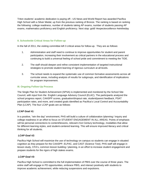Triton students' academic dedication is paying off-- US News and World Report has awarded Pacifica High School with a Silver Medal, up from the previous ranking of Bronze. The ranking is based on ranking the following: college readiness, number of students taking AP exams, number of students passing AP exams, mathematics proficiency and English proficiency. Next stop: gold! #expectexcellence #wintheday

#### **II. Schoolwide Critical Areas for Follow-up**

In the fall of 2011, the visiting committee left 3 critical areas for follow-up. They are as follows:

- 1. Administration and staff need to continue to improve opportunities for student and parent participation, increasing their involvement as critical partners in the educational process and continuing to build a universal feeling of school pride and commitment to meeting the TIDE.
- 2. The staff should deepen and refine consistent implementation of targeted instructional strategies to promote student learning of rigorous curriculum at all levels.
- 3. The school needs to expand the systematic use of common formative assessments across all curricular areas, including analysis of results for subgroups, and identification of implications for program improvement.

#### **III. Ongoing Follow-Up Process**

The Single Plan for Student Achievement (SPSA) is implemented and monitored by the School Site Council, with input from the English Language Advisory Council (ELAC). The participants analyzed the school progress report, CAASPP scores, graduation/dropout rate, student/parent feedback, PSAT participation rates, and more, and created goals identified as Pacifica's Local Control and Accountability Plan (LCAP). The four LCAP goals are as follows:

#### *LCAP Goal #1:*

In a positive, "win the day" environment, PHS will build a culture of collaboration /planning / inquiry and college readiness in an effort to focus on STUDENT ENGAGEMENT IN ALL AREAS. Points of emphasis will be personal connections to content/lessons, relevant 21st Century technology, modalities that allow for different learning styles, and student-centered learning. This will ensure improved literacy and critical thinking for all students.

#### *LCAP Goal #2:*

Pacifica High School will maximize the use of technology on campus so students can engage in situated cognition as they prepare for the CAASPP, ELPAC, and CAST (Science Test). PHS staff will engage in lesson study, CFA's, common lesson building / planning, in an effort to increase student engagement and prepare students for the rigors of high stakes exams.

#### *LCAP Goal #3:*

Pacifica High School is committed to the full implementation of PBIS over the course of three years. The entire staff will engage in PD opportunities, embrace PBIS, and interact positively with students to improve academic achievement, while reducing suspensions and expulsions.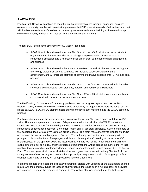#### *LCAP Goal #4:*

Pacifica High School will continue to seek the input of all stakeholders (parents, guardians, business owners, community members) in an effort to guarantee that PHS meets the needs of all students and that all initiatives are reflective of the diverse community we serve. Ultimately, building a close relationship with the community we serve, will result in improved student achievement.

The four LCAP goals complement the WASC Action Plan goals:

- $\triangleright$  LCAP Goal #1 is addressed in Action Plan Goal #1: the LCAP calls for increased student engagement, with the Action Plan Goal calling for implementation of research-based instructional strategies and a rigorous curriculum in order to increase student engagement and success
- ➢ LCAP Goal #2 is addressed in both Action Plan Goals #1 and #2: the use of technology and technology-based instructional strategies will increase student engagement and achievement, and will increase staff use of common formative assessments (CFAs) and data analysis
- $\triangleright$  LCAP Goal #3 is addressed in Action Plan Goal #3: the focus on positive behavior includes increasing communication with students, parents, and additional stakeholders
- $\geq$  LCAP Goal #4 is addressed in Action Plan Goals #2 and #3: all stakeholders are involved in communication in order to increase student success.

The Pacifica High School school/community profile and annual progress reports, such as the 2014 midterm report, have been reviewed and discussed annually by all major stakeholders including, but not limited to, ELAC, SSC, PTSA, staff members during sanctioned staff meetings, and the WASC self-study process.

Pacifica continues to use the leadership team to monitor the Action Plan and prepare for future WASC visits. The leadership team is composed of department chairs, the principal, the WASC self-study coordinator, lead teachers from each department, mentor teachers for Common Core and technology, instructional coaches, tech coaches, site content leads, and all assistant principals. Several members of the leadership team are also WASC focus group leaders. This team meets monthly to plan for site PLCs and discuss the instructional program of Pacifica. The self-study coordinator meets regularly with the principal to discuss the Action Plan progress while also planning all staff meetings to work on WASC related issues. In the spring of 2014, the faculty formally met to look at the Action Plan, the significant events since the last self-study, and the progress of implementing writing across the curriculum. At that meeting, teachers worked in interdepartmental groups to brainstorm, add to, and comment on the Action Plan. The meeting was inclusive of all stakeholders and gave them a voice in writing Chapter 2. In the spring we also offered focus group leaders the opportunity to step down or switch focus groups; a few changes were made and they will be represented at the mid-term visit.

In order to prepare this report, the self-study coordinator started with updating all the data before sharing results with the principal. Since the last self-study process, there has been a running list of all activities and programs to use in the creation of Chapter 2. The Action Plan was revised after the last visit and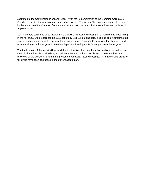submitted to the Commission in January 2012. With the implementation of the Common Core State Standards, most of the rationales are in need of revision. The Action Plan has been revised to reflect the implementation of the Common Core and was written with the input of all stakeholders and reviewed in September 2014.

Staff members continued to be involved in the WASC process by meeting on a monthly basis beginning in the fall of 2016 to prepare for the 2018 self-study visit. All stakeholders, including administrators, staff, faculty, students, and parents, participated in mixed groups assigned to narratives for Chapter 3, and also participated in home groups based on department, with parents forming a parent home group.

The final version of the report will be available to all stakeholders on the school website, as well as on CDs distributed to all stakeholders, and will be presented to the school board. The report has been reviewed by the Leadership Team and presented at several faculty meetings. All three critical areas for follow-up have been addressed in the current action plan.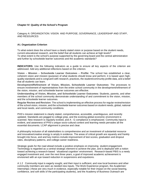#### **Chapter IV: Quality of the School's Program**

Category A: ORGANIZATION: VISION AND PURPOSE, GOVERNANCE, LEADERSHIP AND STAFF, AND RESOURCES

#### **A1. Organization Criterion**

To what extent does the school have a clearly stated vision or purpose based on the student needs, current educational research, and the belief that all students can achieve at high levels? To what extent is the school's purpose supported by the governing board and the central administration and further by schoolwide learner outcomes and the academic standards?

**INDICATORS:** Use the following indicators as a guide to ensure all key aspects of the criterion are addressed. Add any additional reflections based on the criterion.

**Vision – Mission – Schoolwide Learner Outcomes – Profile**: The school has established a clear, coherent vision and mission (purpose) of what students should know and perform; it is based upon highquality standards and is congruent with research, practices, the student/community profile data, and a belief that all students can learn.

**Development/Refinement of Vision, Mission, Schoolwide Learner Outcomes**: The processes to ensure involvement of representatives from the entire school community in the development/refinement of the vision, mission, and schoolwide learner outcomes are effective.

**Understanding of Vision, Mission, and Schoolwide Learner Outcomes**: Students, parents, and other members of the school community demonstrate understanding of and commitment to the vision, mission, and the schoolwide learner outcomes.

**Regular Review and Revision**: The school is implementing an effective process for regular review/revision of the school vision, mission, and the schoolwide learner outcomes based on student needs, global, national and local needs, and community conditions.

PHS's mission statement is clearly stated, comprehensive, accessible, unambiguous, and recently updated. Standards are pegged to college prep, and the evolving global economic environment is scanned. New research is regularly evoked, and A - G compliance is emphasized. Community input is evident, and awareness of PHS's unique socio-cultural context and learning needs pervades all the essential documents. LCAP alignment is precise and clear.

A philosophy inclusion of all stakeholders is comprehensive and an investment of substantial resource and innovative/creative energy is amply in evidence. The areas of critical growth are squarely and frankly brought into focus, and and key metrics include improvement of test scores, graduation and dropout rates, disciplinary patterns, and college-career readiness.

Strategic goals for the road ahead include a positive emphasis on improving student engagement. Technology is regarded as a central strategic element to achieve the plan, and is deployed with a notion toward achieving a research-based 'situational cognition' environment. Research-based PBIS is a newly engaged investment and, over the next three years, a goal of improved academic achievement is envisioned with an eye toward reduction in suspensions and expulsions.

A 1.2 Community input is eagerly sought, and their input is sufficient, and now local business and other community members are seen as needed new inputs. The Work Experience program, the Academies' Internships ( these are very much in evidence, especially notable for their impact on the social bearing, confidence, and soft skills of the participating students), and the Academy of Business Outreach are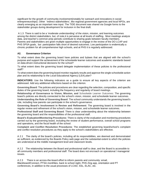significant for the growth of community involvement(notably for outreach and innovations in social entrepreneurships) .Other 'indirect stakeholders', like regional government agencies and local NPOs, are clearly emerging as an important new input. The TIDE document was shared via Google forms to the stakeholder groups during development for inclusion in the final draft.

A 1.3 There is said to be a 'moderate understanding' of the vision, mission, and learning outcomes among the district stakeholders, but, of note,it is pervasive at all levels of staffing. Most meetings analyze data, and teacher's common prep periods contribute to sharing goals between faculty members. Parents and stakeholders are given multiple opportunities to engage in the review of the DO LCAP and PHS SPSA goals, but participation falls short of desired outcomes. Low participation is endemically a chronic problem for all comprehensive high schools, and at PHS it is regularly addressed.

#### **A2. Governance Criterion**

To what extent does the governing board have policies and bylaws that are aligned with the school's purpose and support the achievement of the schoolwide learner outcomes and academic standards based on data-driven instructional decisions for the school?

To what extent does the governing board delegate implementation of these policies to the professional staff?

To what extent does the governing board monitor regularly results and approve the single schoolwide action plan and its relationship to the Local Educational Agency (LEA) plan?

**INDICATORS**: Use the following indicators as a guide to ensure all key aspects of the criterion are addressed. Add any additional reflections based on the criterion.

**Governing Board**: The policies and procedures are clear regarding the selection, composition, and specific duties of the governing board, including the frequency and regularity of board meetings.

**Relationship of Governance to Vision, Mission, and** Schoolwide Learner Outcomes: The governing board's policies are directly connected to the school's vision, mission, and schoolwide learner outcomes.

**Understanding the Role of Governing Board**: The school community understands the governing board's role, including how parents can participate in the school's governance.

**Governing Board's Involvement in Review and Refinement**: The governing board is involved in the regular review and refinement of the school's vision, mission, and schoolwide learner outcomes.

**Professional Staff and Governing Board**: There is clear understanding about the relationship between the governing board and the responsibilities of the professional staff.

**Board's Evaluation/Monitoring Procedures**: There is clarity of the evaluation and monitoring procedures carried out by the governing board, including the review of student performance, overall school programs and operations, and the fiscal health of the school.

**Complaint and Conflict Resolution Procedures**: The established governing board/school's complaint and conflict resolution procedures as they apply to the school's stakeholders are effective.

A 2.1 The clarity of the board's policies, including all its responsibilities, are deemed and demonstrated as sufficient, as evidenced by the Boards Policy web page and the substantial extent to which the policies are understood at the middle management level and classroom levels.

A 2.2 The relationship between the Board and professional staff is clear, and the Board is accessible to all community members and professional staff. The board does not encroach on operational / managerial issues.

A 2.3 There is an across-the-board effort to inform parents and community: email, Blackboard/Connect, PTSA monthlies, back to school night, PHS Zing app, orientation and PT conferences, in addition to the usual processes of LCAD, SSL, ELAC, etc.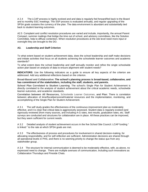A 2.4 The LCAP process is highly evolved and and data is regularly fed forward/fed back to the Board and to monthly SSC meetings. The SSP process is evaluated annually, and regular upgrading of the SPSA goals sustains the currency of the plan. The data environment is abundant and substantially tied back to student learning outcomes.

A2.5 Complaint and conflict resolution procedures are varied and include, importantly, the annual Parent Compact, summer mailings that bridge the time out of school, and advisory committees, like the Solution Committee, help to diffuse contention. When resolution procedures at the site level need more input or oversight they are brought to the DO.

#### **A3. Leadership and Staff Criterion**

To what extent based on student achievement data, does the school leadership and staff make decisions and initiate activities that focus on all students achieving the schoolwide learner outcomes and academic standards?

To what extent does the school leadership and staff annually monitor and refine the single schoolwide action plan based on analysis of data to ensure alignment with student needs?

**INDICATORS**: Use the following indicators as a guide to ensure all key aspects of the criterion are addressed. Add any additional reflections based on the criterion.

**Broad-Based and Collaborative: The school's planning process is broad-based, collaborative, and has commitment of the stakeholders, including the staff, students, and parents.**

**School Plan Correlated to Student Learning**: The school's Single Plan for Student Achievement is directly correlated to the analysis of student achievement about the critical academic needs, schoolwide learner outcomes, and academic standards.

**Correlation between All Resources,** Schoolwide Learner Outcomes, **and Plan**: There is correlation between allocation of time/fiscal/personnel/material resources and the implementation, monitoring, and accomplishing of the Single Plan for Student Achievement.

A 3.1 The self study grades the effectiveness of the continuous improvement plan as moderately effective, and it is clear that critical data is aggressively assessed. Student data is regularly evoked (and rigorously reviewed )from many sources, and including A-G rates, test results, graduation rates, etc. Staff surveys are conducted and structures for collaboration are in place. All these practices can be improved, but they seem sufficient for current needs.

A 3.2 Detailed analysis of student achievement occurs in the five School Site Council. LCAP funding " is linked " to the rate at which SPSA goals are met.

A 3.3 The effectiveness of process and procedures for involvement in shared decision-making, for allocating responsibility, and for self-reflection are sufficient. Administration decisions are shared through all operational levels in PHS, and there is no seeming priority to change the status quo from any stakeholder group.

A 3.4 The structure for internal communication is deemed to be moderately effective, with, as above, no expressed need to change. There are multiple avenues of communication, including such innovations as Collaboration Thursdays and Fireside Chats.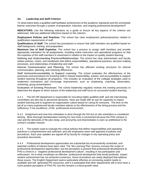#### **A4. Leadership and Staff Criterion**

To what extent does a qualified staff facilitates achievement of the academic standards and the schoolwide learner outcomes through a system of preparation, induction, and ongoing professional development?

**INDICATORS**: Use the following indicators as a guide to ensure all key aspects of the criterion are addressed. Add any additional reflections based on the criterion.

**Employment Policies and Practices**: The school has clear employment policies/practices related to qualification requirements of staff.

**Qualifications of Staff**: The school has procedures to ensure that staff members are qualified based on staff background, training, and preparation.

**Maximum Use of Staff Expertise**: The school has a process to assign staff members and provide appropriate orientation for all assignments, including online instruction and specialized programs so that the expertise of the staff members is maximized in relation to the impact on quality student learning.

**Defining and Understanding Practices/Relationships**: The school has clear administrator and faculty written policies, charts, and handbooks that define responsibilities, operational practices, decision-making processes, and relationships of leadership and staff.

**Internal Communication and Planning**: The school has effective existing structures for internal communication, planning, and resolving differences.

**Staff Actions/Accountability to Support Learning**: The school evaluates the effectiveness of the processes and procedures for involving staff in shared responsibility, actions, and accountability to support student learning throughout all programs. This includes an evaluation of the collegial strategies used to implement innovations and encourage improvement, such as shadowing, coaching, observation, mentoring, group presentations.

**Evaluation of Existing Processes**: The school leadership regularly reviews the existing processes to determine the degree to which actions of the leadership and staff focus on successful student learning.

A 4.1 The DO HR department is responsible for recruiting highly qualified staff, and site interviewing committees are also key to personnel decisions. Hires are made with an eye for capacites to impact student learning and to augment an organization culture based on caring for everyone. The time on the job of so many experienced faculty members attests to the effectiveness of the hiring process and the sufficiency, if not excellence, of the professional environment.

A 4.2 Assignment and new-hire orientation is done through the DO but on-site orientation is considered lacking. More thorough familiarisation training for new hires is envisioned because the PHS campus is vast and the demands of the jobs steep, and anonymity and disorientation is seen as antithetical to the school's complex mission.

A 4.3 The system used to evaluate the critical policies that define responsibilities and operating practices is comprehensive and sufficient, and site employees seem well apprised of policies and procedures. Each year updates are signed off by faculty for changes in key operating policy and procedure documents.

A 4.4 Professional development opportunities are substantial but inconveniently scheduled, and potential conflicts of interest have been cited. The 'My Learning Plan' process conveys the scope of professional development opportunities, but the perception is present that professional development at PHS is mired in a " negative professional development culture", resulting in low participation and enthusiasm. As to what constitutes an effective professional development that would positively impact student achievement has not achieved consensus. Some innovations are newly deployed that address these issues. The English Department seems particularly effective at connecting explicit needs to available and self -generated PD resources, and it is postulated that other departments will in time have a more positive perception of PHS PD, but this remains a critical growth need,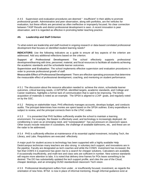A 4.5 Supervision and evaluation procedures are deemed " insufficient" in their ability to promote professional growth. Administrative and peer observation, along with portfolios, are the vehicles for evaluation, but these efforts are perceived as often ineffective or improperly focused. No clear connection between TASP Results and district professional development is seen. A recent innovation is peer observation, and it is regarded as effective in promoting better teaching practice.

#### **A5. Leadership and Staff Criterion**

To what extent are leadership and staff involved in ongoing research or data-based correlated professional development that focuses on identified student learning needs?

**INDICATORS**: Use the following indicators as a guide to ensure all key aspects of the criterion are addressed. Add any additional reflections based on the criterion.

**Support of Professional Development**: The school effectively supports professional development/learning with time, personnel, material, and fiscal resources to facilitate all students achieving the academic standards and the schoolwide learner outcomes.

**Supervision and Evaluation**: The school implements effective supervision and evaluation procedures in order to promote professional growth of staff.

**Measurable Effect of Professional Development**: There are effective operating processes that determine the measurable effect of professional development, coaching, and mentoring on student performance.

A 5.1 The discussion about the resource allocation needed to: achieve the vision, schoolwide learner outcomes, critical learning needs, LCAP/SPSA -identified targets, academic standards, and College and Career readiness, highlights a former lack of communication that is said to be improving. The timely acquisition of materials is noted as an example. The SPSA is aligned to LCAP goals, and regularly voted on by the SSC.

A 5.2 Relying on stakeholder input, PHS effectively manages accounts, develops budget, and conducts audits. The principal determines how monies are spent based on the SPSA outlines. Every expenditure is subject to review, and the principal connects them to the LPAC codes.

A 5.3 It is presented that PHS facilities sufficiently enable the school to maintain a learning environment. For example, the theater is effectively used, and technology is increasingly deployed. Air conditioning is seen as an emerging need, and "overpopulation" has put pressure on classroom space. Other issues include reduction in custodians, the challenge of available bathrooms, etc, and these are on the radar to be addressed.

A 5.4 PHS is sufficiently effective at maintenance of its essential capital investment, including Tech, the Library, and Labs. Requisitions are executed effectively.

A major push for student access to technology has been supported with a highly available Help Desk/campus technician many teachers are also strong in voluntary tech support, and innovations are in the pipeline. Faculty are designated as tech coaches and while the COWS investment has increased, the fact that COWS it is expensive has given rise to a search for cheaper solutions. Calculators are available, if occasionally insufficiently, and math text and class sets are sufficient in number. New science standards will require more attention to labs. It is noted that delivery time frames for POs leave something to be desired. The DO has substantially updated the tech support profile, and cites the use of the Cloud, cheaper desktops, and an emerging OUSD standardized classroom Tech vision.

A 5.5 Professional development suffers from under , or insufficiently focused, investment, as regards the orientation of new hires. BTSA is now in place of informal mentoring, though informal guidance exist at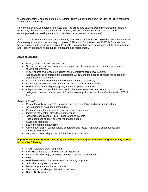the department level and seems to be increasing. There is push-back about the utility of PBSA compared to site-based mentoring.

Recruitment seems competently executed and ' job alikes' add value to Department teaching. There is uncertainty about articulating, in the hiring process, what department needs are, and to some extent professional development falls short of teacher expectations( as above )

A 5.6 LCAP alignment is seen as moderately effective, though its ideals are evident in implementation. Controversy exists as to the best way to deploy LCAP funds. Comprehensive PSAT/SAT access has been instituted, but its efficacy is subject to debate. Naviance has been introduced, but it's still scaling up, and Tech infrastructure needs funds for updating and replacement.

#### *Areas of Strength*

- A surge in tech deployment and use.
- Substantial innovation in programs to improve the attendance metrics, with an eye to greater student achievement
- Widely shared awareness of a critical need to improve parent involvement.
- A renewed focus on attacking the persistent D/F list, and the need to enhance the support of stakeholders in this effort
- An organization culture that genuinely cares and acts proactively
- Academies that exceed expectations and foster soft-skill development
- Well evolving LCAP aligment, goals, and development processes
- A highly spitited student information and cultural enviroment as demostrated by Triton Talks, college and career consciousness infused in so many classrooms, the up-front honesty of PBIS, ect.

#### *Areas of Growth*

- More effectively focussed PD, including new hire orientation and user-generated foci.
- An upgrading of evaluation procedures
- More access to the documents of policies and procedures
- Improved stakeholder attendance at meetings
- A too large population of un- or under-informed parents
- Tech updates to support parents information needs
- Class size reduction
- Better mentoring of new hires
- A more operational, collaboratively generated, and tested hypothesis about causes and remediation of D/F lists
- Long term stewardship of the tech hardware infrastructure0

**Important evidence from the self-study and the visit that supports these strengths and key issues include the following:**

- CAASP data and LCAP alignment
- BTS nights adapted to realities of working families
- Faculty/Dept Meetings, including common preps and room sharing
- PBIS
- Well developed Work Experience and Academy programs
- 'Job-alike' and peer observation
- Dinner program and alike innovations
- Clear and accessible policies and procedures
- Health Tip Tuesdays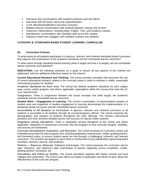- Interviews and conversations with Academy teachers and site Admin.
- Interviews with DO brass, led by the Superintendent
- LCAP allocation/justification executive summary
- Multiple informal conversations with students between classes and at lunch
- Classroom Observations, including Math, English. Tech, and Academy classes
- Spontaneous conversations with classified staff across the campus
- Fabulous meals from engaged, self-confident Culinary Arts students

#### **CATEGORY B. STANDARDS-BASED STUDENT LEARNING: CURRICULUM**

#### **B1. Curriculum Criterion**

To what extent do all students participate in a rigorous, relevant, and coherent standards-based curriculum that supports the achievement of the academic standards and the schoolwide learner outcomes?

To what extent through standards-based learning (what is taught and how it is taught), are the schoolwide learner outcomes accomplished?

**INDICATORS**: Use the following indicators as a guide to ensure all key aspects of the criterion are addressed. Add any additional reflections based on the criterion.

**Current Educational Research and Thinking**: The school provides examples that document the use of current educational research related to the curricular areas in order to maintain a viable, meaningful instructional program for students.

**Academic Standards for Each Area**: The school has defined academic standards for each subject area, course, and/or program, and where, applicable, expectations within the courses that meet the UC "a-g" requirements.

**Congruence**: There is congruence between the actual concepts and skills taught, the academic standards and the schoolwide learner outcomes.

**Student Work — Engagement in Learning**: The school's examination of representative samples of student work and snapshots of student engagement in learning demonstrate the implementation of a standards-based curriculum and the schoolwide learner outcomes.

**Accessibility of All Students to Curriculum**: A rigorous, relevant, and coherent curriculum to all students is accessible to all students through all courses/programs offered. The school examines the demographics and situation of students throughout the class offerings. The school's instructional practices and other activities facilitate access and success for special needs students.

**Integration among Disciplines**: There is integration among disciplines at the school and where applicable, integration of outsourced curriculum into the program so that curricular integrity, reliability, and security are maintained.

**Curricular Development, Evaluation, and Revisions**: The school assesses its curriculum review and evaluation processes for each program area, including graduation requirements, credits, grading policies, and homework policy, to ensure student needs are met through a challenging, coherent, and relevant curriculum. This includes the degree to which there is involvement of key stakeholders (governing board members, teachers, parents, and students).

**Policies — Rigorous, Relevant, Coherent Curriculum**: The school assesses the curriculum and its rigor, relevancy, and coherency after examination of policies regarding course completion, credits, grading policies, homework, etc.

**Articulation and Follow-up Studies**: The school articulates regularly with feeder schools and local colleges and universities. The school uses follow-up studies of graduates and others to learn about the effectiveness of the curricular program.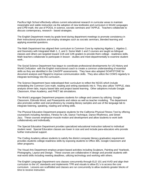Pacifica High School effectively utilizes current educational research in curricular areas to maintain meaningful and viable instruction via the adoption of new textbooks and curriculum in World Languages and CPM math, the use of POGIL in science, socratic seminars and TAPPLE. Teachers collaborate to discuss contemporary, research - based strategies.

The English Department meets by grade level during department meetings to promote consistency in their instructional practices and employ strategies such as socratic seminars, blended learning and applying essential questions.

The Math Department has aligned their curriculum to Common Core by replacing Algebra 1, Algebra 2, and Geometry with Integrated Math 1, 2, and 3. Some Math 1 and 2 courses are taught as bilingual classes and others are targeted toward 11th and 12th graders to provide them college - readiness skills. Math teachers collaborate to participate in lesson - studies and meet departmentally to examine student work..

The Social Science Department has begun to coordinate professional developments for US History and World Civilization with the English instructional coach to create a common understanding of essential skills as they are identified in the CAASPP assessments. They have also adopted SOAPSTONE for document analysis and Flipgrid to improve communication skills. They also utilize the COWS regularly to integrate technology into the curriculum..

The Science Department have redeveloped their curriculum to reflect the NGSS which include embedding the Common Core math, reading and writing standards into it. They also utilize TAPPLE, data analysis driven labs, inquiry based labs and project based learning. Other adoptions include Google Classroom, Khan Academy, and PHET lab simulations.

The World Languages Department prepares students for college and careers by utilizing Google Classroom, Edmodo Word, and Powerpoints and videos as well as teacher modeling. The department also promotes written and oral proficiency by creating literary samples and use of the language lab to integrate listening, speaking, reading and writing skills.

The Physical Education Department prepares students for the California Physical Fitness Test by offering coursework including Aerobics, Fitness for Life, Dance Technique, Dance Rhythmics, and Street Jazz. These courses emphasize muscle motion and development and allow students to work both collaboratively and individually.

The Special Education Department provides specialized educational instruction tailored to individual student need. Special Education classes are lower in size and and include para-educators who provide further instructional support.

The Coding Academy allows students to satisfy the district computer literacy graduation requirement provides students college-readiness skills by exposing students to Office 365, Google Classroom and other programs.

The Visual Arts Department employs project-based activities including Sculpture, Painting and Yearbook, Photography, Layout and Design. These courses are collaborative in design and provide students with real-world skills including meeting deadlines, utilizing technology and working with others.

The English Language Department runs classes concurrently through ELD 101 and AVID and align their curriculum to the UC standards and implements TPR and visuals to allow EL's to access the core curriculum. Lessons are scaffolded and classes are run concurrently to allow students greater blocks of time to receive instruction.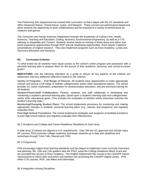The Performing Arts Department has revised their curriculum so that it aligns with the UC standards and offers Advanced Dance, Choral Dance, Guitar, and Mariachi. These courses are performance-based and allow students the opportunity to work collaboratively and be exposed to a variety of performance-art mediums and genres.

The Consumer and Family Sciences Department includes the academies of Culinary Arts, Health Sciences, Teaching and Education, Coding, Business, Environmental Engineering as well as a CTE pathway in Hospitality and Tourism. Students receive hands-on training in these areas and utilize realworld experience opportunities through ROP and job shadowing opportunities. Each require Capstone presentations of original research. They also implement programs such as Khan Academy, Lynda.com, Discovery Education and Naviance.

#### **B2. Curriculum Criterion**

To what extent do all students have equal access to the school's entire program and assistance with a personal learning plan to prepare them for the pursuit of their academic, personal, and school-to-career goals?

**INDICATORS**: Use the following indicators as a guide to ensure all key aspects of the criterion are addressed. Add any additional reflections based on the criterion.

**Variety of Programs** — **Full Range of Choices**: All students have opportunities to make appropriate choices and pursue a full range of realistic college/career and/or other educational options. The school provides for career exploration, preparation for postsecondary education, and pre-technical training for all students.

**Student-Parent-Staff Collaboration**: Parents, students, and staff collaborate in developing and monitoring a student's personal learning plan, based upon a student's learning style and college/career, and/or other educational goals. (This includes the evaluation of whether online instruction matches the student's learning style.)

**Monitoring/Changing Student Plans**: The school implements processes for monitoring and making appropriate changes in students' personal learning plans (e.g., classes and programs) and regularly evaluates them.

**Post High School Transitions**: The school implements strategies and programs to facilitate transitions to post high school options and regularly evaluates their effectiveness.

#### *B1.2 Academic and College-and Career-Readiness Standards for Each Area*

A wide array of classes are aligned to A-G requirements. Over 200 are UC approved and include many AP courses. PHS promotes college readiness and keeps students up to date with deadlines and workshops through Triton Talk, INacoal and TIDE.

#### *B1.3 Congruence*

PHS encourages higher-level learning standards and has begun to implement cross-curricular instruction and planning. 9th, 10th and 11th graders take the PSAT using the College Readiness Block Grant and are provided free access to Khan Academy. The English Department has moved to the CAASPP Interim Assessments to inform their instruction and teachers are accessing the CAASPP Digital Library. PHS offers CTE courses, ROP, Job Alikes and Internships.

*B1.4 Integration Among Disciplines*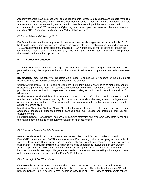Academy teachers have begun to work across departments to integrate disciplines and prepare materials that mirror CAASPP assessments. PHS has identified a need to further enhance this integration to create a broader curricular understanding and articulation. Pacifica has adopted the use of outsourced curriculum including APEX Learning and Cyber High and has adopted the use of supplemental resources including KHAN Academy, Lynda.com, and Virtual Job Shadowing.

#### *B1.5 Articulation and Follow-up Studies*

Pacifica articulates curricular programs with feeder schools, local colleges and technical schools. PHS hosts visits from Oxnard and Ventura Colleges, organizes field trips to colleges and universities, utilizes TECA Academy for internship programs, provides FAFSA workshops, as well as activities through the College and Career Center. There are military visits to campus and the Triton Transition (SPED) program that provide further student opportunities.

#### **B2. Curriculum Criterion**

To what extent do all students have equal access to the school's entire program and assistance with a personal learning plan to prepare them for the pursuit of their academic, personal, and school-to-career goals?

**INDICATORS**: Use the following indicators as a guide to ensure all key aspects of the criterion are addressed. Add any additional reflections based on the criterion.

**Variety of Programs** — **Full Range of Choices**: All students have opportunities to make appropriate choices and pursue a full range of realistic college/career and/or other educational options. The school provides for career exploration, preparation for postsecondary education, and pre-technical training for all students.

**Student-Parent-Staff Collaboration**: Parents, students, and staff collaborate in developing and monitoring a student's personal learning plan, based upon a student's learning style and college/career, and/or other educational goals. (This includes the evaluation of whether online instruction matches the student's learning style.)

**Monitoring/Changing Student Plans**: The school implements processes for monitoring and making appropriate changes in students' personal learning plans (e.g., classes and programs) and regularly evaluates them.

**Post High School Transitions**: The school implements strategies and programs to facilitate transitions to post high school options and regularly evaluates their effectiveness.

#### *B2.3 Student - Parent - Staff Collaboration*

Parents, students and staff collaborate via committees, Blackboard Connect, StudentVUE and ParentVUE, parent classes, FAFSA meetings, 4-Year Plan meetings, after-school programs and schoolwide events including Open House, Back to School Night and Parent Conferences. There is evidence to support that PHS provides multiple outreach opportunities to parents to involve them in both student academic progress and college and career awareness and opportunities. There is also evidence to indicate that there is need to provide greater outreach to parents who are not taking advantage of these outreach opportunities or accessing the ParentVUE platform.

#### *B2.4 Post High School Transitions*

Counselors help students create a 4-Year Plan. The school provides AP courses as well as ROP opportunities to better prepare students for the college experience. The school implements AVID and provides College Fairs. A career Center Technician is featured on Triton Talk and staff promote college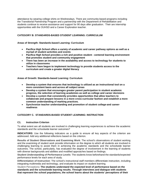attendance by wearing college shirts on Wednesdays. There are community-based programs including the Transitional Partnership Program and a partnership with the Department of Rehabilitation and students continue to receive assistance and support for 90 days after graduation. Their are internship opportunities with the OUHSD and a Career Exploration teacher.

#### **CATEGORY B: STANDARDS-BASED STUDENT LEARNING: CURRICULUM**

**Areas of Strength: Standards-based Learning: Curriculum**

- **Pacifica High School offers a variety of academic and career pathway options as well as a myriad of student activities and events**
- **Pacifica High School provides a rich and positive student - centered learning environment that promotes student and community engagement**
- **There has been an increase in the availability and access to technology for students to utilize in classrooms**
- **Teachers have begun to implement technology to provide students access to the curriculum and create a greater digital literacy**

**Areas of Growth: Standards-based Learning: Curriculum**

- **Develop a system that ensures that technology is utilized as an instructional tool on a more consistent basis and across all subject areas**
- **Develop a system that encourages greater parent participation in student academic progress, the selection of learning academies as well as college and career decisions**
- **Develop a system that consistently provides opportunities that allow teachers to collaborate and prepare lessons in a more cross-curricular fashion and establish a more common understanding of marking practices.**
- **Synchronize teacher understanding and promotion of student college-and careerreadiness**

#### **CATEGORY C. STANDARDS-BASED STUDENT LEARNING: INSTRUCTION**

#### **C1. Instruction Criterion**

To what extent are all students are involved in challenging learning experiences to achieve the academic standards and the schoolwide learner outcomes?

**INDICATORS**: Use the following indicators as a guide to ensure all key aspects of the criterion are addressed. Add any additional reflections based on the criterion.

**Results of Student Observations and Examining Work**: The school's observations of student working and the examining of student work provide information on the degree to which all students are involved in challenging learning to assist them in achieving the academic standards and the schoolwide learner outcomes. The school, particularly, has evaluated the degree of involvement in the learning of students with diverse backgrounds and abilities and modified approaches based on findings.

**Student Understanding of Performance Levels**: The students know beforehand the standards/expected performance levels for each area of study.

**Differentiation of Instruction**: The school's instructional staff members differentiate instruction, including integrating multimedia and technology, and evaluate its impact on student learning.

Student Perceptions**: The students understand the expected level of performance based on the standards and the schoolwide learning results. Through interviews and dialogue with students that represent the school populations, the school learns about the students' perceptions of their**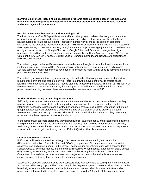**learning experiences, including all specialized programs such as college/career readiness and online instruction regarding the opportunity for teacher-student interaction to reduce isolation and encourage skill transference**

#### **Results of Student Observations and Examining Work**

The instructional staff at PHS provide student with a challenging and relevant learning environment to achieve the academic standards, the college- and career-readiness standards, and the schoolwide learner outcomes to a moderate extent. Instruction increasingly aligns to the common core statestandards as the access to technology increases. PHS currently lacks current textbooks in the majority of their departments, so many teachers rely on digital means to supplement aging materials. Teachers rely on digital resources such as Google Classroom, Google Drive, and Canvas to manage their digital resources. In addition to these resources, teachers commonly use Khan Academy, Kahoot, No Red Ink, CommonLit, iLit, CAASPP, Kahoot, Quizizz, Quizlet, Shmoop, Edmodo, and NewsELA to supplement their textbook situation.

The self-study reports that AVID strategies can also be seen throughout the school, with many teachers implementing Cornell notes, WICOR (writing, inquiry, collaboration, organization, and reading) and Socratic seminars. Many departments have begun implementing more writing-specific activities in order to prepare students for the SBAC.

The self-study also report that they are replacing rote methods of learning instructional strategies that require critical thinking and problem solving. There is a growing movement towards project-based learning and instructional strategies that require students to actively participate. The staff at PHS feel with the new Common Core State Standards, there is a push to transition traditional instruction to more project-based learning however, these are more evident in the academies at PHS.

#### **Student Understanding of Learning Expectations**

Self-study report states that students understand the standards/expected performance levels that they must achieve and to demonstrate proficiency within an individual class, however, students lack the information necessary to understand how the performance levels are calculated. According to the focus group interview, teachers stated that they are mandated by the district office to proctor the Interim Assessment Tests provided by CAASPP. The results are shared with the students so they can clearly understand the learning expectations for the class.

In the focus group, teachers stated that they shared rubrics, student models, and practice tests designed to help students understand the performance levels that they must achieve to demonstrate proficiency. Various digital resources that teachers use also provided students instant feedback on what they needed to work on in order to gain proficiency such as Kahoot, Quizizz, Khan Academy, etc.

#### **Differentiation of Instruction**

PHS uses multimedia tools and technology to increase student understanding and to provide differentiated instruction. The school has 46 COW's (computer and Chromebook carts) available for classroom use and a media center in the library. Teachers supplement instruction with Khan Academy, Kahoot, Quizziz, YouTube videos, and other digital resources. When needed, students can easily access daily lessons, PowerPoints, videos and class resources by visiting these websites. The Visiting Committee observed that document cameras and projectors appear to be available for use in most classrooms and that many teachers used them during instruction.

Students are provided opportunities to work collaboratively with peers and to participate in project-based and real-world learning opportunities, particularly in the magnet programs. These activities are standardsbased, rigorous, culturally relevant, and subject students to real-world applications. Activities and/or projects are differentiated to meet the unique needs of the individual(s) needs of the student or group.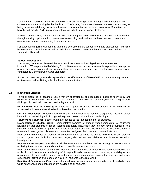Teachers have received professional development and training in AVID strategies by attending AVID conferences and/or training led by the district. The Visiting Committee observed some of these strategies being implemented during instruction, however this was not observed in all classrooms. Some teachers have been trained in AVID (Advancement Via Individual Determination) strategies.

In some content areas, students are placed in team-taught courses which allows differentiated instruction through small group instruction, on-on-ones, re-teaching, and stations. In these courses, content and assessments are accommodating to students' needs.

For students struggling with content, tutoring is available before school, lunch, and afterschool. PHS also have extended library hours as well. In addition to these resources, students may contact their teacher via email or Remind.

#### **Student Perceptions**

The Visiting Committee observed that teachers incorporate various digital resources into their instruction. When prompted by Visiting Committee members, students were able to provide a description of what they were doing in class, however, they were unable to discuss how their learning objectives were connected to Common Core State Standards.

Student and teacher groups also spoke about the effectiveness of ParentVUE in communicating student achievement and facilitating school to home communications.

#### **C2. Instruction Criterion**

To what extent do all teachers use a variety of strategies and resources, including technology and experiences beyond the textbook and the classroom that actively engage students, emphasize higher order thinking skills, and help them succeed at high levels?

**INDICATORS**: Use the following indicators as a guide to ensure all key aspects of the criterion are addressed. Add any additional reflections based on the criterion.

**Current Knowledge:** Teachers are current in the instructional content taught and research-based instructional methodology, including the integrated use of multimedia and technology.

**Teachers as Coaches:** Teachers work as coaches to facilitate learning for all students.

**Examination of Student Work:** Representative samples of student work demonstrate: a) structured learning so that students organize, access and apply knowledge they already have acquired; b) that students have the tools to gather and create knowledge and have opportunities to use these tools to research, inquire, gather, discover, and invent knowledge on their own and communicate this.

Representative samples of student work demonstrate that students are able to think, reason, and problem solve in group and individual activities, project, discussions, and debates and inquiries related to investigation.

Representative samples of student work demonstrate that students use technology to assist them in achieving the academic standards and the schoolwide learner outcomes.

Representative samples of student work demonstrate student use of materials and resources beyond the textbook, such as use and availability of library/multimedia resources and services; availability of and opportunities to access data-based, original source documents and computer information networks; and experiences, activities and resources which link students to the real world.

**Real World Experiences***:* Opportunities for shadowing, apprenticeship, community projects and other real world experiences and applications are available to all students.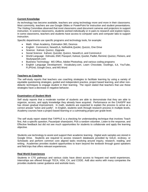#### **Current Knowledge**

As technology has become available, teachers are using technology more and more in their classrooms. Most commonly, teachers are use Google Slides or PowerPoint for instruction and student presentations. The Visiting Committee observed that most classrooms used document cameras and projectors to support instruction. In science classrooms, students worked individually or in pairs to research and explore topics. In some classrooms, teachers and students have access to computer carts and computer labs to support instruction.

Specific departments use specific programs and technology tools, for example:

- Math: Khan Academy, Estimation 360, Desmos
- English: CommonLit, NewsELA, NoRedInk,Quizlet, Quizziz, One Drive
- Science: Kahoot, Quizizz, Zipgrade
- Social Science: Kahoot, Quizzlet, Quizizz, NewsELA, and CommonLit
- World Language: Edmodo, EMC Passport, Kahoot, Quizlet, Padlet, Remind, Quizizz, Flickers, and Studyspanish.com
- Business Technology: MS Office, Adobe Photoshop, and various coding programs
- English Language Development: Vocabulary.com, Learn Chocolate, Duolingo, iLit, YouTube, FLIPGrid, Google Docs, and MS Word

#### **Teachers as Coaches**

The self-study reports that teachers use coaching strategies to facilitate learning by using a variety of equitable questioning strategies, guided and independent practice, project based learning, and other nondidactic techniques to engage student in their learning. The report stated that teachers that use these strategies have a decrease in negative behavior.

#### **Examination of Student Work**

Self study reports that a moderate number of students are able to demonstrate that they are able to organize, access, and apply knowledge they already have acquired. Performance on the CAASPP test has shown gradual improvement. In math, students are expected to explain the process to arrive at a correct answer "solve and justify". In English, students work through research process in multiple levels. Academy courses have a project based learning or a culminating project per grade level.

The self study report stated that TAPPLE is a checking for understanding technique that involves Teach first, Ask a specific question, Pause/pair share/point, Pick a random volunteer, Listen to the response, and Effective feedback but did not see much opportunities for students to collaborate and apply the learning objective.

Students use technology to assist and support their academic learning. Digital work samples are stored in Google Drive. Students are required to access research databases provided by GALE, eLibrary, or Scholastic and perform common core aligned tasks revolving around inquiry, research, reading, and writing. Academies provides student opportunities to learn beyond the textbook through guest speakers and field trips that offers relevant experiences.

#### **Real World Experiences**

Students in CTE pathways and various clubs have direct access to frequent real world experiences. Internships are offered through TECA, HSA, CA, and CODE. AoB also works with many companies the provides students career guidance and worksite tours.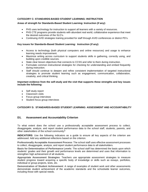#### **CATEGORY C: STANDARDS-BASED STUDENT LEARNING: INSTRUCTION**

#### **Areas of strength for Standards-Based Student Learning: Instruction (if any):**

- PHS uses technology for instruction to support all learners with a variety of resources.
- PHS CTE programs provide students with abundant real world, collaborative experience that meet the desired outcomes of the SLO's.
- Continuing AVID strategies training provided for staff through AVID conferences or district PD's.

#### **Key issues for Standards-Based Student Learning: Instruction (if any):**

- Access to technology (both physical computers and online resources) and usage to enhance learning needs improvement.
- Maximize writing across curriculum to support students skills in gathering, correctly using, and building upon credible sources.
- State clear lesson objectives that connects to CCSS and refer to them during instruction.
- Formulate common instructional strategies for checking for understanding and embed frequently during instruction.
- Staff should continue to deepen and refine consistent implementation of targeted instructional strategies to promote student learning such as engagement, communication, collaboration, creativity, and critical thinking.

#### **Important evidence from the self-study and the visit that supports these strengths and key issues include the following:**

- Self study report
- Classroom visits
- Focus group interviews
- Student focus group interviews

#### **CATEGORY D. STANDARDS-BASED STUDENT LEARNING: ASSESSMENT AND ACCOUNTABILITY**

#### **D1. Assessment and Accountability Criterion**

To what extent does the school use a professionally acceptable assessment process to collect, disaggregate, analyze, and report student performance data to the school staff, students, parents, and other stakeholders of the school community?

**INDICATORS**: Use the following indicators as a guide to ensure all key aspects of the criterion are addressed. Add any additional reflections based on the criterion.

**Professionally Acceptable Assessment Process**: The school staff uses effective assessment processes to collect, disaggregate, analyze, and report student performance data to all stakeholders.

**Basis for Determination of Performance Levels**: The school staff has determined the basis upon which students' grades and their growth and performance levels are determined and uses that information to strengthen high achievement of all students.

**Appropriate Assessment Strategies**: Teachers use appropriate assessment strategies to measure student progress toward acquiring a specific body of knowledge or skills such as essays, portfolios, individual or group projects, tests, etc.

**Demonstration of Student Achievement**: A range of examples of student work and other assessments demonstrate student achievement of the academic standards and the schoolwide learner outcomes, including those with special needs.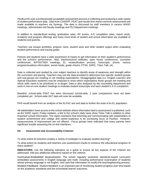Pacifica HS uses a professionally acceptable assessment process in collecting and analyzing a wide variety of student performance data. Data from CAASPP, PSAT and results from these common assessments are made available to teachers via Synergy. The data is discussed by staff members in various WASC meetings, administrator-led faculty meetings and PLC/department meetings.

In addition to standardized testing, graduation rates, AP scores, A-G completion rates, report cards, Academy and program offerings and many more kinds of student and school information are available to students and parents.

Teachers use essays portfolios, projects, tests, student work and other student output when evaluating student performance and issuing grade.

Parents and students have a wide assortment of means to get information on their student's performance and the school's performance: Mail, teacher/school websites, open house conferences, counselor conferences, IEP/SST/504 meetings, EL reclassification process, transcripts, phone, various program/academy information, social media, grade checks, PTSA, SARC, Triton Talk, etc.

Data is collected and studied by core subject teachers to identify areas of weakness and strength within the curriculum and pacing. Teachers may use the data provided to determine how specific student groups and sub-groups are meeting or not meeting expectations. Disaggregated data (i.e. English Learners and Special Education students) may be analyzed to show which expectations those groups are meeting and which skills need to be prioritized or re-taught. Data is also analyzed by the counseling department and used in one-on-one student meetings to evaluate student transcripts and each student's A-G completion.

Baseline, school-wide PSAT has been discussed school-wide; 2 year comparisons have not been completed yet. School-wide SAT data will soon be available.

PHS would benefit from an analysis of the ELPAC test and data to further the ends of its EL population.

All stakeholders have access to the school website where information tied to assessment is published, such as the SARC report, Friday Updates, a link to the school's daily news show Triton Talk in addition to other important school information. The report maintains that informing and communicating with stakeholders of student achievement and college and career-readiness is an increasing focus at Pacifica. However, measurements of improvement are not offered. Focus groups have indicated that many parents have significant trouble assessing the on-line interfaces.

#### **D2. Assessment and Accountability Criterion**

To what extent do teachers employ a variety of strategies to evaluate student learning?

To what extent do students and teachers use assessment results to enhance the educational progress of every student?

**INDICATORS**: Use the following indicators as a guide to ensure all key aspects of the criterion are addressed. Add any additional reflections based on the criterion.

**Curriculum-Embedded Assessments**: The school regularly examines standards-based curriculum embedded assessments in English language and math, including performance examination of students whose primary language is not English, and uses that information to modify the teaching/learning process. **Student Feedback**: Student feedback is an important part of monitoring student progress over time based

on the academic standards and the schoolwide learner outcomes.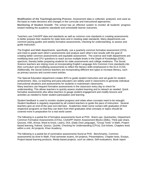**Modification of the Teaching/Learning Process**: Assessment data is collected, analyzed, and used as the basis to make decisions and changes in the curricular and instructional approaches. **Monitoring of Student Growth**: The school has an effective system to monitor all students' progress toward meeting the academic standards and schoolwide learner outcomes.

Teachers use CAASPP data and standards as well as common core standards in creating assessments to better prepare their students for state tests and in meeting state standards. Many departments use common pacing guides and weekly formative assessments, checking for understanding, to assess and guide instruction.

The English and Math departments, specifically, use a quarterly common formative assessment (CFA) and meet to grade each other's assessments and analyze each other's test results with the goal of creating better common assessments and equitable assessment. The science and math departments are modifying tests and CFU questions to reach across multiple levels in the Depth of Knowledge (DOK) spectrum, thereby better preparing students for state assessments and college readiness. The Social Science teachers are relying more on incorporating English Language Arts Common Core standards into their curriculum and modifying assessments to reflect the literacy skills emphasized in the ELA CCSS. Additionally, the Social Science teachers are incorporating different text types to increase literacy, such as primary sources and current event articles.

The Special Education department creates IEPs to guide student instruction and set goals for student achievement. Also, co-teaching and para-educators are widely used in classrooms to generate individual instructional situations and assessments for students in mainstream classrooms. Many teachers use frequent formative assessments in the classroom every day to check for understanding. This allows teachers to quickly assess student learning and to reteach as needed. Quick formative assessments also allow teachers to gauge student engagement and modify lessons and activities as needed to foster student participation and learning.

Student feedback is used to monitor student progress and relate when concepts need to be retaught. Student feedback is regularly requested by all content teachers to guide the pace of instruction. Several teachers give an end-of-the-year exit interview. Academies retain some contact with graduates of their respective programs so that they can learn from their graduates what concepts or topics should be covered more in preparation for a real world career.

The following is a partial list of formative assessments fount at PHS: Warm-ups, Quickwrites, Department Common Formative Assessments (CFAs), CAASPP Interim Assessment Blocks (IABs), Think-pair-share, Quizzes, KWL (Know, Want to know, Learn), DOL (Daily Oral Language), "Group Tests" in Math, Projectbased learning, Kahoot, Quizizz, Quizlet, Checking for Understanding (CFUs), Exit tickets, Chapters tests within a unit, Art projects, Khan Academy.

The following is a partial list of summative assessments found at PHS: Benchmarks, Common assessments by level in Math, Final semester exams, Art projects, Presentations, Chapter tests, Essays, Project-based learning products, Media-based projects, such as videos, Self-evaluations, Book report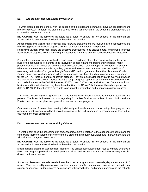#### **D3. Assessment and Accountability Criterion**

To what extent does the school, with the support of the district and community, have an assessment and monitoring system to determine student progress toward achievement of the academic standards and the schoolwide learner outcomes?

**INDICATORS**: Use the following indicators as a guide to ensure all key aspects of the criterion are addressed. Add any additional reflections based on the criterion.

**Assessment and Monitoring Process**: The following stakeholders are involved in the assessment and monitoring process of student progress: district, board, staff, students, and parents.

**Reporting Student Progress**: There are effective processes to keep district, board, and parents informed about student progress toward achieving the academic standards and the schoolwide learner outcomes.

Stakeholders are moderately involved in assessing in monitoring student progress. Although the school puts forth opportunities for parents to be involved in assessing and monitoring their students, many parents lack internet access at home and lack computer skills. Teachers report high interest for parents whenever home contact is made regarding grades and assessments. Parents have the capability of assessing their students' progress through ParentVUE, and programs such as Khan Academy, Crash Course books and YouTube videos; all programs provide enrichment and extra assistance in preparing for the SAT, AP tests, or general education classes. They are also mailed report cards every eight weeks and can monitor their children grades weekly through progress reports or at any time through ParentVUE. Also mailed home are the CAASPP scores, PSAT scores, SAT scores, and AP scores. Community, local business and industry leaders may have been familiar with API/AYP, but have not been brought up to date on CAASSP, they therefore have little to no impact in evaluating and monitoring student progress.

The district funded PSAT in grades 9-11. The results were made available to students, teachers and parents. The board is involved in data regarding EL reclassification, as outlined in our district and site English Learner master plan, and general school and student progress.

Counselors spend focused time meeting individually with each student in monitoring their progress and assessing what classes would best serve the student in their education and in preparation for their further education or career aspirations.

#### **D4. Assessment and Accountability Criterion**

To what extent does the assessment of student achievement in relation to the academic standards and the schoolwide learner outcomes drive the school's program, its regular evaluation and improvement, and the allocation and usage of resources?

**INDICATORS**: Use the following indicators as a guide to ensure all key aspects of the criterion are addressed. Add any additional reflections based on the criterion.

**Modifications Based on Assessment Results**: The school uses assessment results to make changes in the school program, professional development activities, and resource allocations demonstrating a resultsdriven continuous process.

Student achievement data adequately drives the school's program via school-wide, departmental and PLC review. Teachers modify lessons to account for data and modify curriculum and courses according to past student experience. Students course decisions are influenced by test and grade outcomes and the school's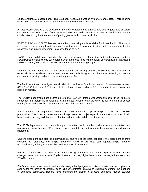course offerings are altered according to student needs as identified by performance data. There is some connection between resource allocation via academic coaches and data.

All test results, save AP, are available in Synergy for teachers to analyze and use to guide and structure curriculum. CAASPP scores from previous years are available and that data is used in department collaborations to guide the creation of pacing guides and content curriculum.

PSAT, ELPAC, and CELDT data are, for the first, time being made available for dissemination. The staff is in the process of learning how to best use this information to inform instruction and assessment within the classroom and in pupil placement in classes (such as AP).

CAASPP data, both English and Math, has been disseminated by the district and has been organized into PowerPoints to make clear to stakeholders what standards need to be retaught or reorganize for instruction. Use of this data, along with CAASPP IAB data, is in the beginning stages.

Departments have found that the amount of reading and writing on the CAASPP has been a challenge, especially for EL students. Departments are focused on building lessons that focus on writing across the curriculum, exposing students to more writing more often.

The Math department has aligned tests in Math 1, 2, and 3 that function as common formative assessments (CFAs). AP Calculus and AP Statistics test results are distributed after AP tests and instruction is modified based on results.

The English department uses scores on formative CAASPP Interim Assessment Blocks (IABs) to inform instruction and determine re-teaching. Standardized reading tests are given to all freshmen to assess reading level and to confirm placement in the Reading elective course.

Social Science has aligned curriculum and assessments to support English CCSS and CAASPP preparation. The Science department no longer receives subject-specific data due to lack of district benchmarks, but they collaborate on chapter and unit tests and discuss the results.

The SPED department collects data through observation, work samples, and teacher documentation, and monitors progress through IEP progress reports; this data is used to inform both instruction and student placement.

Student placement can also be determined by analysis of the data, especially the placement of Math students, AP students, and English Learners. CAASPP IAB data can support English Learner reclassification, although it cannot be used as a specific measure.

Finally, data determines the number of course offerings in the master schedule. Specific master schedule changes based on data include English Learner courses, higher-level Math courses, AP courses, and ERWC courses.

Pacifica has used assessment results in changing school programs to drive a results continuous process, such as the reallocation of computer carts to be concentrated in Math and English classrooms; the purchase of additional computers. Results have prompted the district to allocate additional monies towards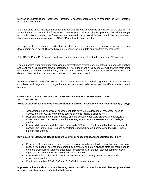purchasing EL instructional resources. Furthermore, assessment results have brought in the LCAP program and after school tutoring.

In the fall of 2016, an Instructional Coach position was created at each site and funded by the district. The Instructional Coach at Pacifica focused on CAASPP preparation and helped prompt schoolwide changes and modifications to instruction. There was an increase in professional development in the past two years that focused on administration of the CAASPP and how to score results.

In response to assessment results, the site has increased support of job-a-likes and professional development days, which likewise have an increased focus on data analysis from assessments.

Both CAASPP and PSAT results are being used as an indicator of probable success in AP classes.

The counselors work with student individually several times over the course of their four years to analyze and evaluate their progress toward graduation. The student and their counselor will analyze their credit completion, graduation requirements, and A-G course completion. Counselors also review assessment data with them at this time, such as CAASPP, SAT, and PSAT results.

As far as assessing the effectiveness of each area, aside from analyzing graduation rates and course completion with regards to those graduates, few processes exist to assess the effectiveness of each program.

#### **CATEGORY D: STANDARDS-BASED STUDENT LEARNING: ASSESSMENT AND ACCOUNTABILITY**

**Areas of strength for Standards-Based Student Learning: Assessment and Accountability (if any):**

- Assessments and analysis of assessment data have led to allocation of resources, such as COWs, tutoring, ASAT, and various course offerings (bilingual classes, etc.)
- Positions such as Instructional coaches and site content leads were created after analysis of assessment data to increase instructional strategies that support assessments and college readiness.
- Increased department collaboration, specifically CFAs in the English and Math departments, skillbased PLCs in the Social Science department, and working on incorporating the NGSS in the Science department.

#### **Key issues for Standards-Based Student Learning: Assessment and Accountability (if any):**

- Pacifica staff is encourage to increase communication with stakeholders about assessment data, especially students, parents and community members; all data is given to staff, but there need to be more procedures in place to adequately disperse results. Student-teacher communication regarding assessment results also needs more attention.
- Increased vertical collaboration within departments would greatly benefit students and assessment results.
- Continue to analyze PSAT, SAT and ELPAC data to plan instruction.

#### **Important evidence about student learning from the self-study and the visit that supports these strengths and key issues include the following:**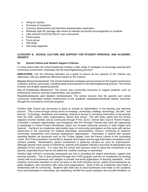- Hiring of coaches
- Purchase of computers
- Common assessments and inter/intra departmental cooperation
- Relatively high AP passage rate seems to indicate successful encouragement on students
- Little mention of ELPAC/CELDT use in document
- Parent group
- Focus group
- Self-study
- Self-study Appendix

#### **CATEGORY E. SCHOOL CULTURE AND SUPPORT FOR STUDENT PERSONAL AND ACADEMIC GROWTH**

#### **E1. School Culture and Student Support Criterion**

To what extent does the school leadership employ a wide range of strategies to encourage parental and community involvement, especially with the teaching/learning process?

**INDICATORS**: Use the following indicators as a guide to ensure all key aspects of the criterion are addressed. Add any additional reflections based on the criterion.

**Regular Parent Involvement**: The school implements strategies and processes for the regular involvement of parents and the community, including being active partners in the teaching/learning process. The school involves non-English speaking parents.

**Use of Community Resources**: The school uses community resources to support students, such as professional services, business partnerships, and speakers.

**Parent/Community and Student Achievement**: The school ensures that the parents and school community understand student achievement of the academic standards/schoolwide learner outcomes through the curricular/co-curricular program.

Pacifica High School has processes in place to include its stakeholders in the learning and teaching process. This is done through various forms of meetings, workshops, mailings, technology, "all-calls", and internet. Technology, workshops and meetings continue to be key in conveying information to the parents from the staff, various clubs, organizations, district and school. The self study states that the school regularly involves families and its community through PTSA, ELAC, School Site Council, Parent Project, Counselor's outreach opportunities, and Doughnuts with the Principal. Parents also have the opportunity to participate in Parent Project Workshops, which are 10-week workshop sessions in both English and Spanish. Pacifica's six Academies add another layer of community participation as they work with various businesses in the community for medical internships, presentations, lessons, mentoring of students, community competitions and eventual employment opportunities. Information is shared with spanish speaking families via resources such as the "Friday Update" from the Parent Liaison in the counseling center, the PTSA president's ConnectEd in Spanish and English and through information translated on the school's website. Nevertheless, parent involvement in particular remains an area for improvement. Although parents have access to ParentVue, parents and students indicate a low level of participation and utilization of this resource. It is clear that the school and teachers need to boost the involvement of all parents, especially those that do not attend the monthly meetings or workshops.

Pacifica High School's community participants are key in providing the added enrichment, support and learning activities. This is done primarily through their AVID program and the six Academies by working closely with local businesses and colleges to provide real world applications of learning standards. AVID employs community members to serve as tutors in the AVID elective course, solicits local businesses as guest speakers, and volunteers with many local organizations. Each of the six Academies also foster a relationship with its community. Students take field trips to local businesses that relate to the academy focus and participate in internships, job shadowing, benefit from guest speakers who provide feedback on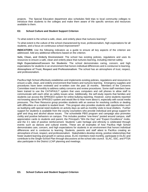projects. The Special Education department also schedules field trips to local community colleges to introduce their students to the colleges and make them aware of the specific services and resources available to them.

#### **E2. School Culture and Student Support Criterion**

To what extent is the school a safe, clean, and orderly place that nurtures learning?

To what extent is the culture of the school characterized by trust, professionalism, high expectations for all students, and a focus on continuous school improvement?

**INDICATORS**: Use the following indicators as a guide to ensure all key aspects of the criterion are addressed. Add any additional reflections based on the criterion.

**Safe, Clean, and Orderly Environment**: The school has existing policies, regulations and uses its resources to ensure a safe, clean and orderly place that nurtures learning, including internet safety.

**High Expectations/Concern for Students**: The school demonstrates caring, concern, and high expectations for students in an environment that honors individual differences and is conducive to learning. **Atmosphere of Trust, Respect and Professionalism**: The school has an atmosphere of trust, respect, and professionalism.

Pacifica High School effectively establishes and implements existing policies, regulations and resources to ensure a safe, clean, and orderly environment that fosters and nurtures learning. Emergency supplies and procedures have been reviewed and re-written over the past 18 months. Members of the Concerns Committee meet bi-monthly to address safety concerns and review procedures. Some staff members have been trained to use the CATAPAULT system that uses computers and cell phones to allow staff to communicate with each other as safety issues arise. Additionally, the self-study reports that families and students can access the SPRIGEO system for online bullying reporting. However, some students reported not knowing about the SPRIGEO system and would like to hear more about it, especially with social media pressures. The Peer Resource group provides students with an avenue for resolving conflicts or dealing with difficulties on a student to student level. This program also provides students with opportunities such as buddying with special need students on activity days as well as monthly visits to local shelters. Further support for students is available from the county counselors who provide individual and group support for grief and drug and alcohol abuse issues. The schoolwide PBIS program and campaign also promotes civility and positive behaviors on campus. This includes positive "one-liners" posted around campus, staff appreciation cards to students and parent, the Principal's "Win the Day" and "Expect Excellence" motto, and the 3:1 ratio of positive reinforcement. Students' Latin heritage and ethnicity is celebrated through events such as dances and cultural events. These are all examples of how Pacifica High School demonstrates care, concern, and high expectations for students in an environment that honors individual differences and is conducive to learning. Students, parents and staff attest to Pacifica creating an atmosphere of trust, respect, and professionalism. Stakeholders develop strong, positive relationships that foster student learning and growth in various areas. ELAC members meet monthly, participate in DLAC and contribute to the Single-School Plan through discussions at the school site council. ELAC, SSC, and PTSA also participate in the District LCAP planning and meetings.

#### **E3. School Culture and Student Support Criterion**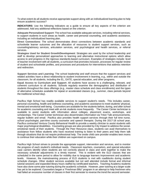To what extent do all students receive appropriate support along with an individualized learning plan to help ensure academic success?

**INDICATORS**: Use the following indicators as a guide to ensure all key aspects of the criterion are addressed. Add any additional reflections based on the criterion.

**Adequate Personalized Support**: The school has available adequate services, including referral services, to support students in such areas as health, career and personal counseling, and academic assistance, including an individualized learning plan.

**Direct Connections**: The school demonstrates direct connections between academic standards and schoolwide learner outcomes and the allocation of resources to student support services, such as counseling/advisory services, articulation services, and psychological and health services, or referral services.

**Strategies Used for Student Growth/Development**: Strategies are used by the school leadership and staff to develop personalized approaches to learning and alternative instructional options which allow access to and progress in the rigorous standards-based curriculum. Examples of strategies include: level of teacher involvement with all students, a curriculum that promotes inclusion, processes for regular review of student and schoolwide profiles, and processes and procedures for interventions that address retention and redirection.

**Support Services and Learning**: The school leadership and staff ensure that the support services and related activities have a direct relationship to student involvement in learning, e.g., within and outside the classroom, for all students, including the EL, GATE, special education, and other programs.

**Equal Access to Curriculum and Support**: All students have access to a challenging, relevant, and coherent curriculum to all students. Schools regularly examine the demographics and distribution of students throughout the class offerings (e.g., master class schedule and class enrollments) and the types of alternative schedules available for repeat or accelerated classes (e.g., summer, class periods beyond the traditional school day).

Pacifica High School has readily available services to support student's needs. This includes career, personal counseling, health and wellness counseling, and academic assistance to meet students' physical, mental and emotional well-being. Counselors are available for the students before, during, and after school for academic counseling and meet with at-risk students more frequently. The Career Center technician is available to assist students with information about colleges, placement exams, workshops, and scholarships. The Career Center technician also disseminates information via Triton Talk announcements, regular bulletin and email. Pacifica also provides health support services through their full time nurse, school psychologist, part-time county counselor and speech therapist. During the 2017-18 school year, Pacifica contracted Ventura County Behavioral Health to provide a weekly clinician to assist students with major psychological disabilities. Counseling groups are also provided by City Impact to address the socialemotional needs of their students. Through the Peer Resource class, students can avail themselves to assistance from fellow students who have received training to listen to their peers and help them talk through situations that do not require professional help. The onsite child care provider enables teen moms to continue their education while their children are supervised on campus.

Pacifica High School strives to provide the appropriate support, intervention and services, and to monitor the progress of each student's individual needs. Classroom teachers, counselors, and special education case carriers identify when students are not correctly placed in class and work together to make the necessary schedule adjustments in a timely manner. This is evident with the ELD classes that are scheduled in the same period to allow for mobility due to language learners improvement and academic levels. However, the mainstreaming process of ELD students is met with roadblocks during student schedule changes. Other student services available but not well attended include formal and informal tutorial sessions and expanded library hours staffed by certificated teachers. Teaching Academy students have also done some peer tutoring during the academic schedule. However, peer tutoring at a larger scale has yet to be explored. Counselors began a "Freshman Blitz" program in an attempt to help freshmen who had failed an excessive number of classes in their first semester to reverse the trend the second semester.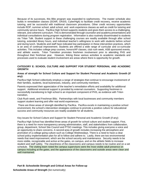Because of its successes, this Blitz program was expanded to sophomores. The master schedule also builds in remediation classes (SOAR, OASIS, CyberHigh) to facilitate credit recovery, receive academic tutoring, and be successful with traditional classroom procedures. Other credit recovery opportunities include ROP, summer school, adult school, and work experience classes as well as credit for tutoring and community service hours. Pacifica High School supports students and gives them access to a challenging, relevant, and coherent curriculum. This is demonstrated through counselor and academy presentations and individual consultations during program registration. Information is also routinely disseminated to students via Tritan Talk. Student support in these challenging courses are readily available through after school tutoring, extended library hours, and individual teacher's willingness to work with students before school and during lunch. Students and staff have indicated low participation in these intervention practices, which is an area of continual improvement. Students are offered a wide range of curricular and co-curricular activities. This includes college prep courses, honors/AP classes, club rush week, ASB sponsored events, and athletic events. Triton Transition promotes freshmen involvement prior to attending PHS and throughout their freshman year. However, linking these various activities to academic standards and processes used to evaluate student involvement are areas where there is opportunity for growth.

#### **CATEGORY E: SCHOOL CULTURE AND SUPPORT FOR STUDENT PERSONAL AND ACADEMIC GROWTH**

#### **Areas of strength for School Culture and Support for Student Personal and Academic Growth (if any):**

Pacifica High School collectively employs a range of strategies that continue to encourage involvement of their families, students, local businesses, industry, and community members.

Parents expressed their appreciation of the teacher's remediation efforts and availability for additional support. Additional emotional support is provided by external counselors. Supporting freshmen in successfully transitioning to high school is an important component of PHS, as evidence with Triton transition,

Club Rush week, and Freshman Blitz. Partnerships with local businesses and community members support student learning and offer real world experiences.

There are three areas of strength identified by Pacifica. Pacifica excels in maintaining a positive school environment, the school's intervention strategies continue to promote a positive culture for educational success and community resources are readily available for all students.

Key issues for School Culture and Support for Student Personal and Academic Growth (if any):

Pacifica High School has identified three areas of growth for school culture and student support. First, there is a need for more transparency among administration, staff, and stakeholders from collaboration, group, department, School Site Council and PTSO meetings. This includes giving everyone a voice and an opportunity to share concerns. A second area of growth includes increasing the atmosphere and promotion of a college going culture such as College Wednesdays. There is a need to have a clear school policy implementation plan for all to follow and adhere to. Lastly, there are two environmental needs that need improvement, which are the school security and maintenance. Security needs to be more visible, recognizable and active at the gates, on campus, and on the athletic fields to increase student and staff safety. The cleanliness of the classrooms and campus needs to be routine and on a set schedule. The visiting team noted the campus supervisors were the most visible adult presence on campus including at the gates, and the appearance of the classrooms and outside areas were clean and well maintained.

#### **Part B: Schoolwide Strength and Critical Areas for Follow-up**

**Schoolwide Areas of Strength (list numerically)**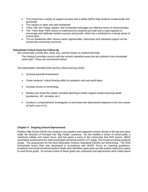- The school has a variety of support services and a willing staff to help students academically and personally
- The campus is clean and well-maintained
- Triton Talk, the "Friday Update" and ConnectEd messages are effective forms of communication
- The "Triton Way"-PBIS culture is understood by students and staff and is used regularly to encourage and celebrate student success and growth, which has contributed to a strong sense of school spirit.
- The six academies offer various career opportunities, internships and individual support via the school and community resources.

#### **Schoolwide Critical Areas for Follow-Up**

(list numerically; include who, what, why, and the impact on student learning)

The Visiting Committee concurs with the school's identified areas that are outlined in the schoolwide action plan. These are summarized below:

The stakeholders identified their top five critical learning needs:

- Increase parental involvement.
- Foster students' critical thinking skills for academic and real world tasks.
- Increase access to technology.
- Review and revise the master schedule planning to better support student learning needs (academies, AP, remedial, etc.)
- Conduct a comprehensive investigation of and determine data-based response to the root causes of Ds/Fs (non-A-G).

#### **Chapter V: Ongoing School Improvement**

Pacifica High School (RHS) has created a very positive and supportive school climate in the last two years under the direction of Principal Ted "Big Teddy" Lawrence. He has instilled a sense of school pride, a newfound college and career focus, and has given a voice to the community that PHS serves. SBAC summative assessments for math and English are being used for 11<sup>th</sup> grade. The results are being analyzed locally. The assessment for the Next Generation Science Standards (NGSS) are forthcoming. The RHS Schoolwide Action Plan was developed in accordance with WASC Focus on Learning guidelines. Academic and social-emotional student needs were identified, goals were set with actions steps put in place to meet those goals. An annual review of these goals was conducted and adjustments were made based